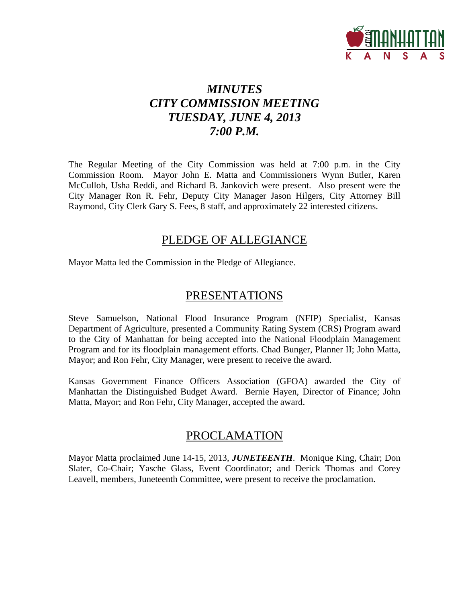

# *MINUTES CITY COMMISSION MEETING TUESDAY, JUNE 4, 2013 7:00 P.M.*

The Regular Meeting of the City Commission was held at 7:00 p.m. in the City Commission Room. Mayor John E. Matta and Commissioners Wynn Butler, Karen McCulloh, Usha Reddi, and Richard B. Jankovich were present. Also present were the City Manager Ron R. Fehr, Deputy City Manager Jason Hilgers, City Attorney Bill Raymond, City Clerk Gary S. Fees, 8 staff, and approximately 22 interested citizens.

# PLEDGE OF ALLEGIANCE

Mayor Matta led the Commission in the Pledge of Allegiance.

# PRESENTATIONS

Steve Samuelson, National Flood Insurance Program (NFIP) Specialist, Kansas Department of Agriculture, presented a Community Rating System (CRS) Program award to the City of Manhattan for being accepted into the National Floodplain Management Program and for its floodplain management efforts. Chad Bunger, Planner II; John Matta, Mayor; and Ron Fehr, City Manager, were present to receive the award.

Kansas Government Finance Officers Association (GFOA) awarded the City of Manhattan the Distinguished Budget Award. Bernie Hayen, Director of Finance; John Matta, Mayor; and Ron Fehr, City Manager, accepted the award.

# PROCLAMATION

Mayor Matta proclaimed June 14-15, 2013, *JUNETEENTH*. Monique King, Chair; Don Slater, Co-Chair; Yasche Glass, Event Coordinator; and Derick Thomas and Corey Leavell, members, Juneteenth Committee, were present to receive the proclamation.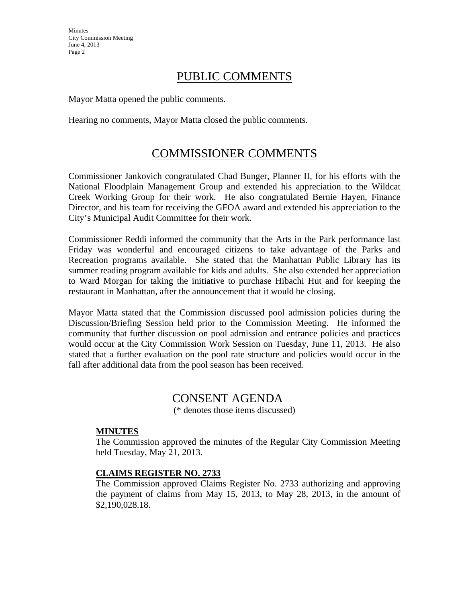# PUBLIC COMMENTS

Mayor Matta opened the public comments.

Hearing no comments, Mayor Matta closed the public comments.

# COMMISSIONER COMMENTS

Commissioner Jankovich congratulated Chad Bunger, Planner II, for his efforts with the National Floodplain Management Group and extended his appreciation to the Wildcat Creek Working Group for their work. He also congratulated Bernie Hayen, Finance Director, and his team for receiving the GFOA award and extended his appreciation to the City's Municipal Audit Committee for their work.

Commissioner Reddi informed the community that the Arts in the Park performance last Friday was wonderful and encouraged citizens to take advantage of the Parks and Recreation programs available. She stated that the Manhattan Public Library has its summer reading program available for kids and adults. She also extended her appreciation to Ward Morgan for taking the initiative to purchase Hibachi Hut and for keeping the restaurant in Manhattan, after the announcement that it would be closing.

Mayor Matta stated that the Commission discussed pool admission policies during the Discussion/Briefing Session held prior to the Commission Meeting. He informed the community that further discussion on pool admission and entrance policies and practices would occur at the City Commission Work Session on Tuesday, June 11, 2013. He also stated that a further evaluation on the pool rate structure and policies would occur in the fall after additional data from the pool season has been received.

# CONSENT AGENDA

(\* denotes those items discussed)

## **MINUTES**

The Commission approved the minutes of the Regular City Commission Meeting held Tuesday, May 21, 2013.

## **CLAIMS REGISTER NO. 2733**

The Commission approved Claims Register No. 2733 authorizing and approving the payment of claims from May 15, 2013, to May 28, 2013, in the amount of \$2,190,028.18.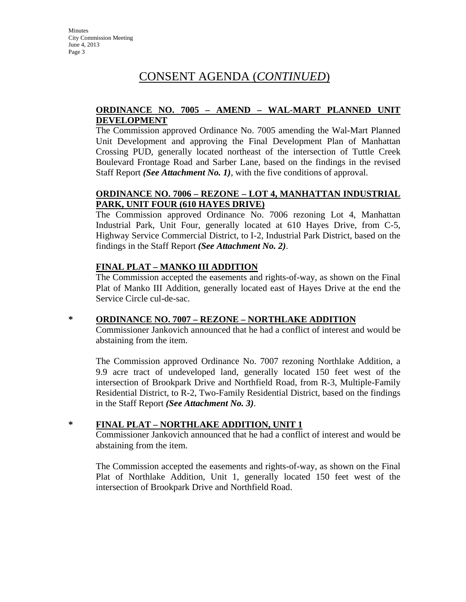# CONSENT AGENDA (*CONTINUED*)

### **ORDINANCE NO. 7005 – AMEND – WAL-MART PLANNED UNIT DEVELOPMENT**

The Commission approved Ordinance No. 7005 amending the Wal-Mart Planned Unit Development and approving the Final Development Plan of Manhattan Crossing PUD, generally located northeast of the intersection of Tuttle Creek Boulevard Frontage Road and Sarber Lane, based on the findings in the revised Staff Report *(See Attachment No. 1)*, with the five conditions of approval.

## **ORDINANCE NO. 7006 – REZONE – LOT 4, MANHATTAN INDUSTRIAL PARK, UNIT FOUR (610 HAYES DRIVE)**

The Commission approved Ordinance No. 7006 rezoning Lot 4, Manhattan Industrial Park, Unit Four, generally located at 610 Hayes Drive, from C-5, Highway Service Commercial District, to I-2, Industrial Park District, based on the findings in the Staff Report *(See Attachment No. 2)*.

## **FINAL PLAT – MANKO III ADDITION**

The Commission accepted the easements and rights-of-way, as shown on the Final Plat of Manko III Addition, generally located east of Hayes Drive at the end the Service Circle cul-de-sac.

## **\* ORDINANCE NO. 7007 – REZONE – NORTHLAKE ADDITION**

Commissioner Jankovich announced that he had a conflict of interest and would be abstaining from the item.

The Commission approved Ordinance No. 7007 rezoning Northlake Addition, a 9.9 acre tract of undeveloped land, generally located 150 feet west of the intersection of Brookpark Drive and Northfield Road, from R-3, Multiple-Family Residential District, to R-2, Two-Family Residential District, based on the findings in the Staff Report *(See Attachment No. 3)*.

## **\* FINAL PLAT – NORTHLAKE ADDITION, UNIT 1**

Commissioner Jankovich announced that he had a conflict of interest and would be abstaining from the item.

The Commission accepted the easements and rights-of-way, as shown on the Final Plat of Northlake Addition, Unit 1, generally located 150 feet west of the intersection of Brookpark Drive and Northfield Road.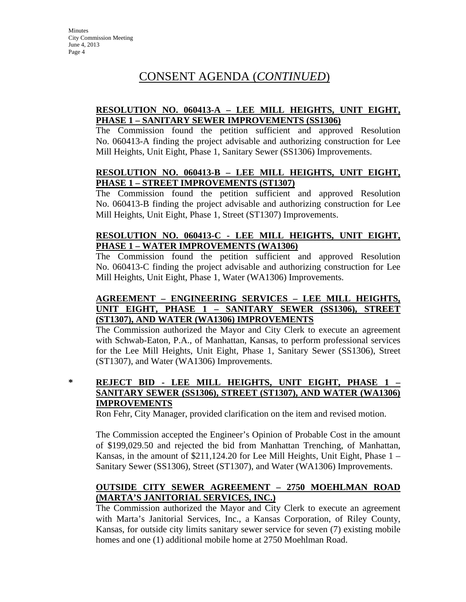# CONSENT AGENDA (*CONTINUED*)

## **RESOLUTION NO. 060413-A – LEE MILL HEIGHTS, UNIT EIGHT, PHASE 1 – SANITARY SEWER IMPROVEMENTS (SS1306)**

The Commission found the petition sufficient and approved Resolution No. 060413-A finding the project advisable and authorizing construction for Lee Mill Heights, Unit Eight, Phase 1, Sanitary Sewer (SS1306) Improvements.

## **RESOLUTION NO. 060413-B – LEE MILL HEIGHTS, UNIT EIGHT, PHASE 1 – STREET IMPROVEMENTS (ST1307)**

The Commission found the petition sufficient and approved Resolution No. 060413-B finding the project advisable and authorizing construction for Lee Mill Heights, Unit Eight, Phase 1, Street (ST1307) Improvements.

## **RESOLUTION NO. 060413-C - LEE MILL HEIGHTS, UNIT EIGHT, PHASE 1 – WATER IMPROVEMENTS (WA1306)**

The Commission found the petition sufficient and approved Resolution No. 060413-C finding the project advisable and authorizing construction for Lee Mill Heights, Unit Eight, Phase 1, Water (WA1306) Improvements.

## **AGREEMENT – ENGINEERING SERVICES – LEE MILL HEIGHTS, UNIT EIGHT, PHASE 1 – SANITARY SEWER (SS1306), STREET (ST1307), AND WATER (WA1306) IMPROVEMENTS**

The Commission authorized the Mayor and City Clerk to execute an agreement with Schwab-Eaton, P.A., of Manhattan, Kansas, to perform professional services for the Lee Mill Heights, Unit Eight, Phase 1, Sanitary Sewer (SS1306), Street (ST1307), and Water (WA1306) Improvements.

**\* REJECT BID - LEE MILL HEIGHTS, UNIT EIGHT, PHASE 1 – SANITARY SEWER (SS1306), STREET (ST1307), AND WATER (WA1306) IMPROVEMENTS**

Ron Fehr, City Manager, provided clarification on the item and revised motion.

The Commission accepted the Engineer's Opinion of Probable Cost in the amount of \$199,029.50 and rejected the bid from Manhattan Trenching, of Manhattan, Kansas, in the amount of \$211,124.20 for Lee Mill Heights, Unit Eight, Phase 1 – Sanitary Sewer (SS1306), Street (ST1307), and Water (WA1306) Improvements.

# **OUTSIDE CITY SEWER AGREEMENT – 2750 MOEHLMAN ROAD (MARTA'S JANITORIAL SERVICES, INC.)**

The Commission authorized the Mayor and City Clerk to execute an agreement with Marta's Janitorial Services, Inc., a Kansas Corporation, of Riley County, Kansas, for outside city limits sanitary sewer service for seven (7) existing mobile homes and one (1) additional mobile home at 2750 Moehlman Road.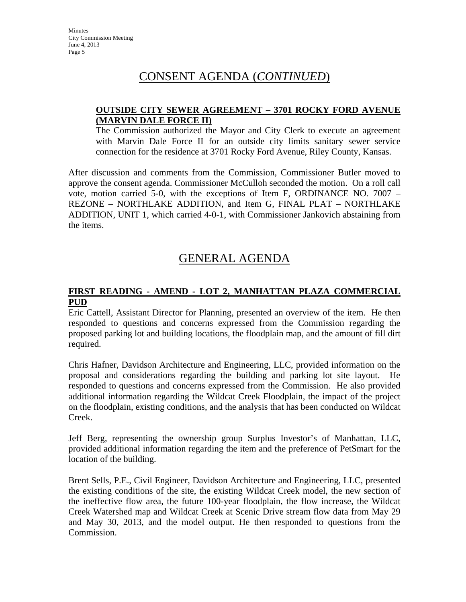# CONSENT AGENDA (*CONTINUED*)

### **OUTSIDE CITY SEWER AGREEMENT – 3701 ROCKY FORD AVENUE (MARVIN DALE FORCE II)**

The Commission authorized the Mayor and City Clerk to execute an agreement with Marvin Dale Force II for an outside city limits sanitary sewer service connection for the residence at 3701 Rocky Ford Avenue, Riley County, Kansas.

After discussion and comments from the Commission, Commissioner Butler moved to approve the consent agenda. Commissioner McCulloh seconded the motion. On a roll call vote, motion carried 5-0, with the exceptions of Item F, ORDINANCE NO. 7007 – REZONE – NORTHLAKE ADDITION, and Item G, FINAL PLAT – NORTHLAKE ADDITION, UNIT 1, which carried 4-0-1, with Commissioner Jankovich abstaining from the items.

# GENERAL AGENDA

## **FIRST READING - AMEND - LOT 2, MANHATTAN PLAZA COMMERCIAL PUD**

Eric Cattell, Assistant Director for Planning, presented an overview of the item. He then responded to questions and concerns expressed from the Commission regarding the proposed parking lot and building locations, the floodplain map, and the amount of fill dirt required.

Chris Hafner, Davidson Architecture and Engineering, LLC, provided information on the proposal and considerations regarding the building and parking lot site layout. He responded to questions and concerns expressed from the Commission. He also provided additional information regarding the Wildcat Creek Floodplain, the impact of the project on the floodplain, existing conditions, and the analysis that has been conducted on Wildcat Creek.

Jeff Berg, representing the ownership group Surplus Investor's of Manhattan, LLC, provided additional information regarding the item and the preference of PetSmart for the location of the building.

Brent Sells, P.E., Civil Engineer, Davidson Architecture and Engineering, LLC, presented the existing conditions of the site, the existing Wildcat Creek model, the new section of the ineffective flow area, the future 100-year floodplain, the flow increase, the Wildcat Creek Watershed map and Wildcat Creek at Scenic Drive stream flow data from May 29 and May 30, 2013, and the model output. He then responded to questions from the Commission.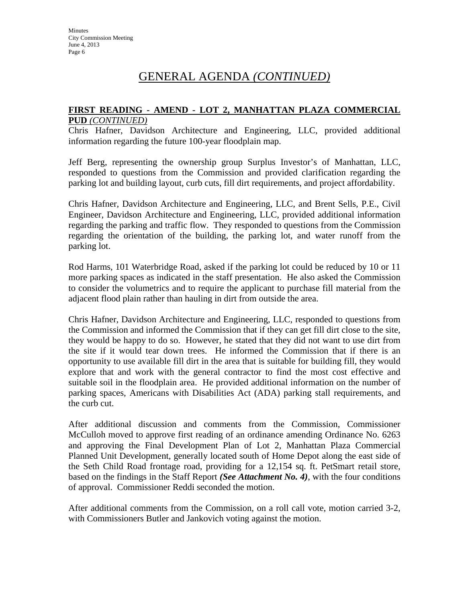#### **FIRST READING - AMEND - LOT 2, MANHATTAN PLAZA COMMERCIAL PUD** *(CONTINUED)*

Chris Hafner, Davidson Architecture and Engineering, LLC, provided additional information regarding the future 100-year floodplain map.

Jeff Berg, representing the ownership group Surplus Investor's of Manhattan, LLC, responded to questions from the Commission and provided clarification regarding the parking lot and building layout, curb cuts, fill dirt requirements, and project affordability.

Chris Hafner, Davidson Architecture and Engineering, LLC, and Brent Sells, P.E., Civil Engineer, Davidson Architecture and Engineering, LLC, provided additional information regarding the parking and traffic flow. They responded to questions from the Commission regarding the orientation of the building, the parking lot, and water runoff from the parking lot.

Rod Harms, 101 Waterbridge Road, asked if the parking lot could be reduced by 10 or 11 more parking spaces as indicated in the staff presentation. He also asked the Commission to consider the volumetrics and to require the applicant to purchase fill material from the adjacent flood plain rather than hauling in dirt from outside the area.

Chris Hafner, Davidson Architecture and Engineering, LLC, responded to questions from the Commission and informed the Commission that if they can get fill dirt close to the site, they would be happy to do so. However, he stated that they did not want to use dirt from the site if it would tear down trees. He informed the Commission that if there is an opportunity to use available fill dirt in the area that is suitable for building fill, they would explore that and work with the general contractor to find the most cost effective and suitable soil in the floodplain area. He provided additional information on the number of parking spaces, Americans with Disabilities Act (ADA) parking stall requirements, and the curb cut.

After additional discussion and comments from the Commission, Commissioner McCulloh moved to approve first reading of an ordinance amending Ordinance No. 6263 and approving the Final Development Plan of Lot 2, Manhattan Plaza Commercial Planned Unit Development, generally located south of Home Depot along the east side of the Seth Child Road frontage road, providing for a 12,154 sq. ft. PetSmart retail store, based on the findings in the Staff Report *(See Attachment No. 4)*, with the four conditions of approval. Commissioner Reddi seconded the motion.

After additional comments from the Commission, on a roll call vote, motion carried 3-2, with Commissioners Butler and Jankovich voting against the motion.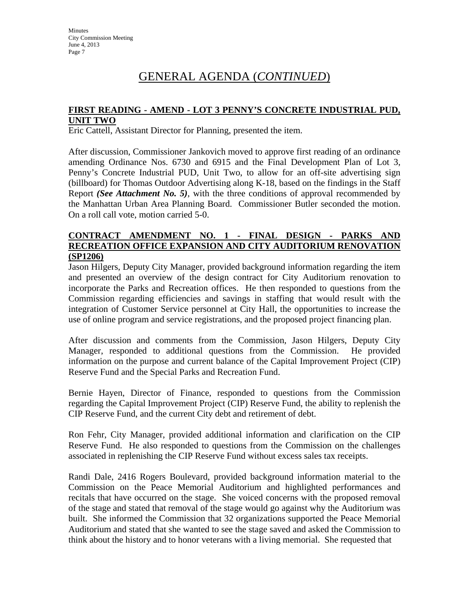## **FIRST READING - AMEND - LOT 3 PENNY'S CONCRETE INDUSTRIAL PUD, UNIT TWO**

Eric Cattell, Assistant Director for Planning, presented the item.

After discussion, Commissioner Jankovich moved to approve first reading of an ordinance amending Ordinance Nos. 6730 and 6915 and the Final Development Plan of Lot 3, Penny's Concrete Industrial PUD, Unit Two, to allow for an off-site advertising sign (billboard) for Thomas Outdoor Advertising along K-18, based on the findings in the Staff Report *(See Attachment No. 5)*, with the three conditions of approval recommended by the Manhattan Urban Area Planning Board. Commissioner Butler seconded the motion. On a roll call vote, motion carried 5-0.

### **CONTRACT AMENDMENT NO. 1 - FINAL DESIGN - PARKS AND RECREATION OFFICE EXPANSION AND CITY AUDITORIUM RENOVATION (SP1206)**

Jason Hilgers, Deputy City Manager, provided background information regarding the item and presented an overview of the design contract for City Auditorium renovation to incorporate the Parks and Recreation offices. He then responded to questions from the Commission regarding efficiencies and savings in staffing that would result with the integration of Customer Service personnel at City Hall, the opportunities to increase the use of online program and service registrations, and the proposed project financing plan.

After discussion and comments from the Commission, Jason Hilgers, Deputy City Manager, responded to additional questions from the Commission. He provided information on the purpose and current balance of the Capital Improvement Project (CIP) Reserve Fund and the Special Parks and Recreation Fund.

Bernie Hayen, Director of Finance, responded to questions from the Commission regarding the Capital Improvement Project (CIP) Reserve Fund, the ability to replenish the CIP Reserve Fund, and the current City debt and retirement of debt.

Ron Fehr, City Manager, provided additional information and clarification on the CIP Reserve Fund. He also responded to questions from the Commission on the challenges associated in replenishing the CIP Reserve Fund without excess sales tax receipts.

Randi Dale, 2416 Rogers Boulevard, provided background information material to the Commission on the Peace Memorial Auditorium and highlighted performances and recitals that have occurred on the stage. She voiced concerns with the proposed removal of the stage and stated that removal of the stage would go against why the Auditorium was built. She informed the Commission that 32 organizations supported the Peace Memorial Auditorium and stated that she wanted to see the stage saved and asked the Commission to think about the history and to honor veterans with a living memorial. She requested that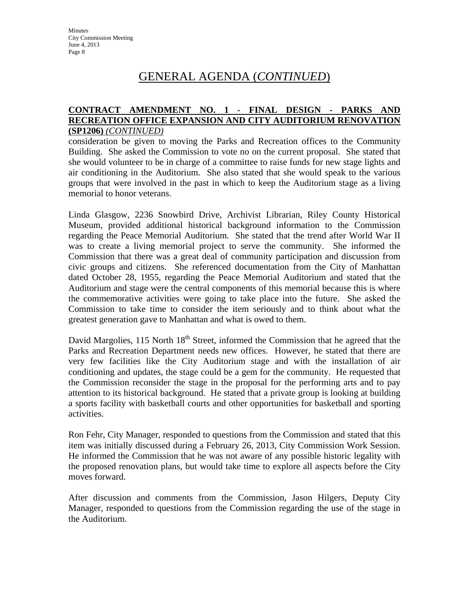## **CONTRACT AMENDMENT NO. 1 - FINAL DESIGN - PARKS AND RECREATION OFFICE EXPANSION AND CITY AUDITORIUM RENOVATION (SP1206)** *(CONTINUED)*

consideration be given to moving the Parks and Recreation offices to the Community Building. She asked the Commission to vote no on the current proposal. She stated that she would volunteer to be in charge of a committee to raise funds for new stage lights and air conditioning in the Auditorium. She also stated that she would speak to the various groups that were involved in the past in which to keep the Auditorium stage as a living memorial to honor veterans.

Linda Glasgow, 2236 Snowbird Drive, Archivist Librarian, Riley County Historical Museum, provided additional historical background information to the Commission regarding the Peace Memorial Auditorium. She stated that the trend after World War II was to create a living memorial project to serve the community. She informed the Commission that there was a great deal of community participation and discussion from civic groups and citizens. She referenced documentation from the City of Manhattan dated October 28, 1955, regarding the Peace Memorial Auditorium and stated that the Auditorium and stage were the central components of this memorial because this is where the commemorative activities were going to take place into the future. She asked the Commission to take time to consider the item seriously and to think about what the greatest generation gave to Manhattan and what is owed to them.

David Margolies,  $115$  North  $18<sup>th</sup>$  Street, informed the Commission that he agreed that the Parks and Recreation Department needs new offices. However, he stated that there are very few facilities like the City Auditorium stage and with the installation of air conditioning and updates, the stage could be a gem for the community. He requested that the Commission reconsider the stage in the proposal for the performing arts and to pay attention to its historical background. He stated that a private group is looking at building a sports facility with basketball courts and other opportunities for basketball and sporting activities.

Ron Fehr, City Manager, responded to questions from the Commission and stated that this item was initially discussed during a February 26, 2013, City Commission Work Session. He informed the Commission that he was not aware of any possible historic legality with the proposed renovation plans, but would take time to explore all aspects before the City moves forward.

After discussion and comments from the Commission, Jason Hilgers, Deputy City Manager, responded to questions from the Commission regarding the use of the stage in the Auditorium.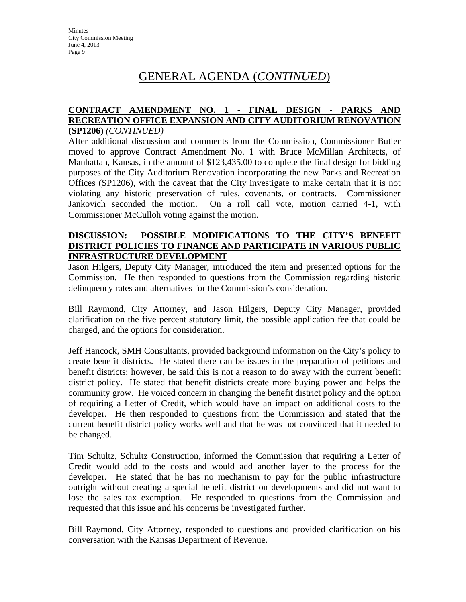## **CONTRACT AMENDMENT NO. 1 - FINAL DESIGN - PARKS AND RECREATION OFFICE EXPANSION AND CITY AUDITORIUM RENOVATION (SP1206)** *(CONTINUED)*

After additional discussion and comments from the Commission, Commissioner Butler moved to approve Contract Amendment No. 1 with Bruce McMillan Architects, of Manhattan, Kansas, in the amount of \$123,435.00 to complete the final design for bidding purposes of the City Auditorium Renovation incorporating the new Parks and Recreation Offices (SP1206), with the caveat that the City investigate to make certain that it is not violating any historic preservation of rules, covenants, or contracts. Commissioner Jankovich seconded the motion. On a roll call vote, motion carried 4-1, with Commissioner McCulloh voting against the motion.

### **DISCUSSION: POSSIBLE MODIFICATIONS TO THE CITY'S BENEFIT DISTRICT POLICIES TO FINANCE AND PARTICIPATE IN VARIOUS PUBLIC INFRASTRUCTURE DEVELOPMENT**

Jason Hilgers, Deputy City Manager, introduced the item and presented options for the Commission. He then responded to questions from the Commission regarding historic delinquency rates and alternatives for the Commission's consideration.

Bill Raymond, City Attorney, and Jason Hilgers, Deputy City Manager, provided clarification on the five percent statutory limit, the possible application fee that could be charged, and the options for consideration.

Jeff Hancock, SMH Consultants, provided background information on the City's policy to create benefit districts. He stated there can be issues in the preparation of petitions and benefit districts; however, he said this is not a reason to do away with the current benefit district policy. He stated that benefit districts create more buying power and helps the community grow. He voiced concern in changing the benefit district policy and the option of requiring a Letter of Credit, which would have an impact on additional costs to the developer. He then responded to questions from the Commission and stated that the current benefit district policy works well and that he was not convinced that it needed to be changed.

Tim Schultz, Schultz Construction, informed the Commission that requiring a Letter of Credit would add to the costs and would add another layer to the process for the developer. He stated that he has no mechanism to pay for the public infrastructure outright without creating a special benefit district on developments and did not want to lose the sales tax exemption. He responded to questions from the Commission and requested that this issue and his concerns be investigated further.

Bill Raymond, City Attorney, responded to questions and provided clarification on his conversation with the Kansas Department of Revenue.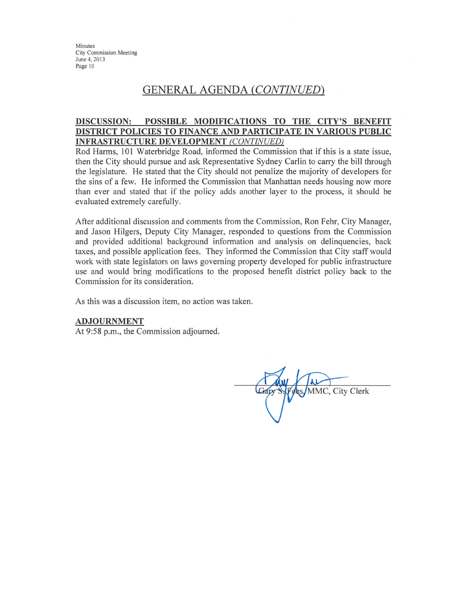# **GENERAL AGENDA (CONTINUED)**

#### POSSIBLE MODIFICATIONS TO THE CITY'S BENEFIT **DISCUSSION:** DISTRICT POLICIES TO FINANCE AND PARTICIPATE IN VARIOUS PUBLIC **INFRASTRUCTURE DEVELOPMENT (CONTINUED)**

Rod Harms, 101 Waterbridge Road, informed the Commission that if this is a state issue, then the City should pursue and ask Representative Sydney Carlin to carry the bill through the legislature. He stated that the City should not penalize the majority of developers for the sins of a few. He informed the Commission that Manhattan needs housing now more than ever and stated that if the policy adds another layer to the process, it should be evaluated extremely carefully.

After additional discussion and comments from the Commission, Ron Fehr, City Manager, and Jason Hilgers, Deputy City Manager, responded to questions from the Commission and provided additional background information and analysis on delinquencies, back taxes, and possible application fees. They informed the Commission that City staff would work with state legislators on laws governing property developed for public infrastructure use and would bring modifications to the proposed benefit district policy back to the Commission for its consideration.

As this was a discussion item, no action was taken.

#### **ADJOURNMENT**

At 9:58 p.m., the Commission adjourned.

MMC, City Clerk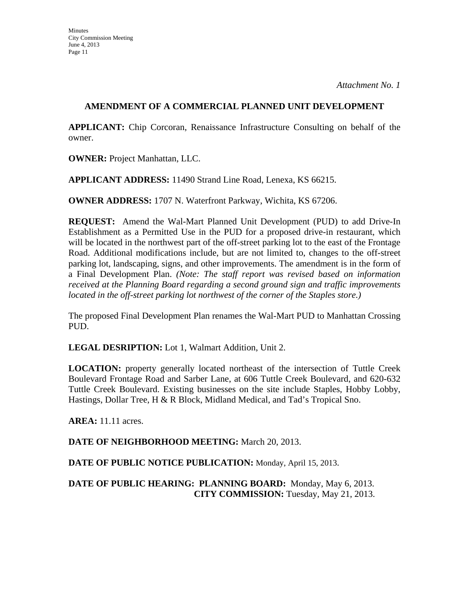## **AMENDMENT OF A COMMERCIAL PLANNED UNIT DEVELOPMENT**

**APPLICANT:** Chip Corcoran, Renaissance Infrastructure Consulting on behalf of the owner.

**OWNER:** Project Manhattan, LLC.

**APPLICANT ADDRESS:** 11490 Strand Line Road, Lenexa, KS 66215.

**OWNER ADDRESS:** 1707 N. Waterfront Parkway, Wichita, KS 67206.

**REQUEST:** Amend the Wal-Mart Planned Unit Development (PUD) to add Drive-In Establishment as a Permitted Use in the PUD for a proposed drive-in restaurant, which will be located in the northwest part of the off-street parking lot to the east of the Frontage Road. Additional modifications include, but are not limited to, changes to the off-street parking lot, landscaping, signs, and other improvements. The amendment is in the form of a Final Development Plan. *(Note: The staff report was revised based on information received at the Planning Board regarding a second ground sign and traffic improvements located in the off-street parking lot northwest of the corner of the Staples store.)*

The proposed Final Development Plan renames the Wal-Mart PUD to Manhattan Crossing PUD.

**LEGAL DESRIPTION:** Lot 1, Walmart Addition, Unit 2.

**LOCATION:** property generally located northeast of the intersection of Tuttle Creek Boulevard Frontage Road and Sarber Lane, at 606 Tuttle Creek Boulevard, and 620-632 Tuttle Creek Boulevard. Existing businesses on the site include Staples, Hobby Lobby, Hastings, Dollar Tree, H & R Block, Midland Medical, and Tad's Tropical Sno.

**AREA:** 11.11 acres.

**DATE OF NEIGHBORHOOD MEETING:** March 20, 2013.

**DATE OF PUBLIC NOTICE PUBLICATION:** Monday, April 15, 2013.

**DATE OF PUBLIC HEARING: PLANNING BOARD:** Monday, May 6, 2013. **CITY COMMISSION:** Tuesday, May 21, 2013.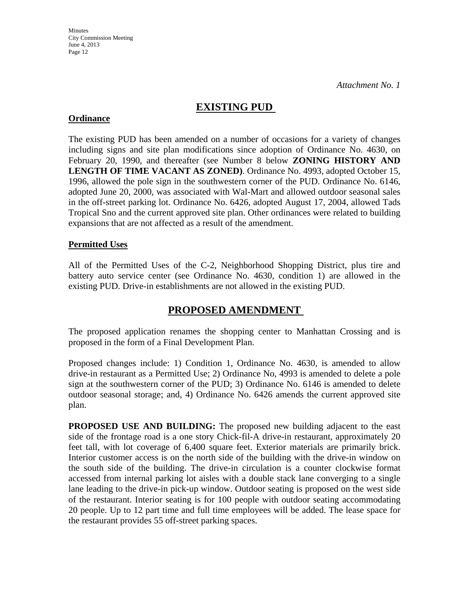# **EXISTING PUD**

## **Ordinance**

The existing PUD has been amended on a number of occasions for a variety of changes including signs and site plan modifications since adoption of Ordinance No. 4630, on February 20, 1990, and thereafter (see Number 8 below **ZONING HISTORY AND LENGTH OF TIME VACANT AS ZONED)**. Ordinance No. 4993, adopted October 15, 1996, allowed the pole sign in the southwestern corner of the PUD. Ordinance No. 6146, adopted June 20, 2000, was associated with Wal-Mart and allowed outdoor seasonal sales in the off-street parking lot. Ordinance No. 6426, adopted August 17, 2004, allowed Tads Tropical Sno and the current approved site plan. Other ordinances were related to building expansions that are not affected as a result of the amendment.

## **Permitted Uses**

All of the Permitted Uses of the C-2, Neighborhood Shopping District, plus tire and battery auto service center (see Ordinance No. 4630, condition 1) are allowed in the existing PUD. Drive-in establishments are not allowed in the existing PUD.

# **PROPOSED AMENDMENT**

The proposed application renames the shopping center to Manhattan Crossing and is proposed in the form of a Final Development Plan.

Proposed changes include: 1) Condition 1, Ordinance No. 4630, is amended to allow drive-in restaurant as a Permitted Use; 2) Ordinance No, 4993 is amended to delete a pole sign at the southwestern corner of the PUD; 3) Ordinance No. 6146 is amended to delete outdoor seasonal storage; and, 4) Ordinance No. 6426 amends the current approved site plan.

**PROPOSED USE AND BUILDING:** The proposed new building adjacent to the east side of the frontage road is a one story Chick-fil-A drive-in restaurant, approximately 20 feet tall, with lot coverage of 6,400 square feet. Exterior materials are primarily brick. Interior customer access is on the north side of the building with the drive-in window on the south side of the building. The drive-in circulation is a counter clockwise format accessed from internal parking lot aisles with a double stack lane converging to a single lane leading to the drive-in pick-up window. Outdoor seating is proposed on the west side of the restaurant. Interior seating is for 100 people with outdoor seating accommodating 20 people. Up to 12 part time and full time employees will be added. The lease space for the restaurant provides 55 off-street parking spaces.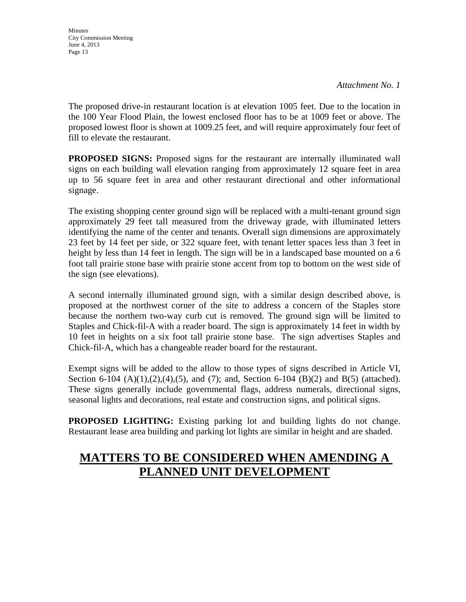**Minutes** City Commission Meeting June 4, 2013 Page 13

The proposed drive-in restaurant location is at elevation 1005 feet. Due to the location in the 100 Year Flood Plain, the lowest enclosed floor has to be at 1009 feet or above. The proposed lowest floor is shown at 1009.25 feet, and will require approximately four feet of fill to elevate the restaurant.

**PROPOSED SIGNS:** Proposed signs for the restaurant are internally illuminated wall signs on each building wall elevation ranging from approximately 12 square feet in area up to 56 square feet in area and other restaurant directional and other informational signage.

The existing shopping center ground sign will be replaced with a multi-tenant ground sign approximately 29 feet tall measured from the driveway grade, with illuminated letters identifying the name of the center and tenants. Overall sign dimensions are approximately 23 feet by 14 feet per side, or 322 square feet, with tenant letter spaces less than 3 feet in height by less than 14 feet in length. The sign will be in a landscaped base mounted on a 6 foot tall prairie stone base with prairie stone accent from top to bottom on the west side of the sign (see elevations).

A second internally illuminated ground sign, with a similar design described above, is proposed at the northwest corner of the site to address a concern of the Staples store because the northern two-way curb cut is removed. The ground sign will be limited to Staples and Chick-fil-A with a reader board. The sign is approximately 14 feet in width by 10 feet in heights on a six foot tall prairie stone base. The sign advertises Staples and Chick-fil-A, which has a changeable reader board for the restaurant.

Exempt signs will be added to the allow to those types of signs described in Article VI, Section 6-104 (A)(1),(2),(4),(5), and (7); and, Section 6-104 (B)(2) and B(5) (attached). These signs generally include governmental flags, address numerals, directional signs, seasonal lights and decorations, real estate and construction signs, and political signs.

**PROPOSED LIGHTING:** Existing parking lot and building lights do not change. Restaurant lease area building and parking lot lights are similar in height and are shaded.

# **MATTERS TO BE CONSIDERED WHEN AMENDING A PLANNED UNIT DEVELOPMENT**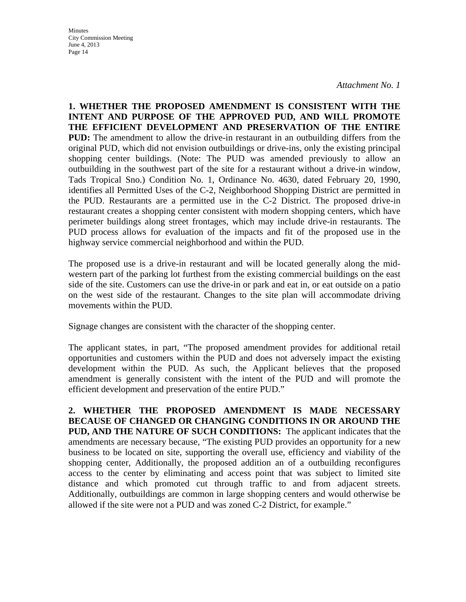*Attachment No. 1*

**1. WHETHER THE PROPOSED AMENDMENT IS CONSISTENT WITH THE INTENT AND PURPOSE OF THE APPROVED PUD, AND WILL PROMOTE THE EFFICIENT DEVELOPMENT AND PRESERVATION OF THE ENTIRE PUD:** The amendment to allow the drive-in restaurant in an outbuilding differs from the original PUD, which did not envision outbuildings or drive-ins, only the existing principal shopping center buildings. (Note: The PUD was amended previously to allow an outbuilding in the southwest part of the site for a restaurant without a drive-in window, Tads Tropical Sno.) Condition No. 1, Ordinance No. 4630, dated February 20, 1990, identifies all Permitted Uses of the C-2, Neighborhood Shopping District are permitted in the PUD. Restaurants are a permitted use in the C-2 District. The proposed drive-in restaurant creates a shopping center consistent with modern shopping centers, which have perimeter buildings along street frontages, which may include drive-in restaurants. The PUD process allows for evaluation of the impacts and fit of the proposed use in the highway service commercial neighborhood and within the PUD.

The proposed use is a drive-in restaurant and will be located generally along the midwestern part of the parking lot furthest from the existing commercial buildings on the east side of the site. Customers can use the drive-in or park and eat in, or eat outside on a patio on the west side of the restaurant. Changes to the site plan will accommodate driving movements within the PUD.

Signage changes are consistent with the character of the shopping center.

The applicant states, in part, "The proposed amendment provides for additional retail opportunities and customers within the PUD and does not adversely impact the existing development within the PUD. As such, the Applicant believes that the proposed amendment is generally consistent with the intent of the PUD and will promote the efficient development and preservation of the entire PUD."

**2. WHETHER THE PROPOSED AMENDMENT IS MADE NECESSARY BECAUSE OF CHANGED OR CHANGING CONDITIONS IN OR AROUND THE PUD, AND THE NATURE OF SUCH CONDITIONS:** The applicant indicates that the amendments are necessary because, "The existing PUD provides an opportunity for a new business to be located on site, supporting the overall use, efficiency and viability of the shopping center, Additionally, the proposed addition an of a outbuilding reconfigures access to the center by eliminating and access point that was subject to limited site distance and which promoted cut through traffic to and from adjacent streets. Additionally, outbuildings are common in large shopping centers and would otherwise be allowed if the site were not a PUD and was zoned C-2 District, for example."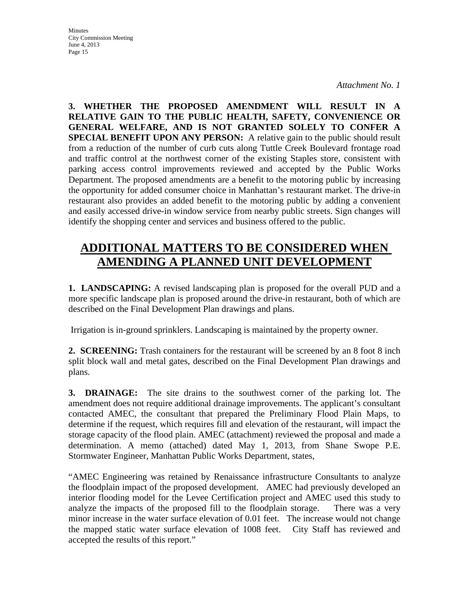*Attachment No. 1*

**3. WHETHER THE PROPOSED AMENDMENT WILL RESULT IN A RELATIVE GAIN TO THE PUBLIC HEALTH, SAFETY, CONVENIENCE OR GENERAL WELFARE, AND IS NOT GRANTED SOLELY TO CONFER A SPECIAL BENEFIT UPON ANY PERSON:** A relative gain to the public should result from a reduction of the number of curb cuts along Tuttle Creek Boulevard frontage road and traffic control at the northwest corner of the existing Staples store, consistent with parking access control improvements reviewed and accepted by the Public Works Department. The proposed amendments are a benefit to the motoring public by increasing the opportunity for added consumer choice in Manhattan's restaurant market. The drive-in restaurant also provides an added benefit to the motoring public by adding a convenient and easily accessed drive-in window service from nearby public streets. Sign changes will identify the shopping center and services and business offered to the public.

# **ADDITIONAL MATTERS TO BE CONSIDERED WHEN AMENDING A PLANNED UNIT DEVELOPMENT**

**1. LANDSCAPING:** A revised landscaping plan is proposed for the overall PUD and a more specific landscape plan is proposed around the drive-in restaurant, both of which are described on the Final Development Plan drawings and plans.

Irrigation is in-ground sprinklers. Landscaping is maintained by the property owner.

**2. SCREENING:** Trash containers for the restaurant will be screened by an 8 foot 8 inch split block wall and metal gates, described on the Final Development Plan drawings and plans.

**3. DRAINAGE:** The site drains to the southwest corner of the parking lot. The amendment does not require additional drainage improvements. The applicant's consultant contacted AMEC, the consultant that prepared the Preliminary Flood Plain Maps, to determine if the request, which requires fill and elevation of the restaurant, will impact the storage capacity of the flood plain. AMEC (attachment) reviewed the proposal and made a determination. A memo (attached) dated May 1, 2013, from Shane Swope P.E. Stormwater Engineer, Manhattan Public Works Department, states,

"AMEC Engineering was retained by Renaissance infrastructure Consultants to analyze the floodplain impact of the proposed development. AMEC had previously developed an interior flooding model for the Levee Certification project and AMEC used this study to analyze the impacts of the proposed fill to the floodplain storage. There was a very minor increase in the water surface elevation of 0.01 feet. The increase would not change the mapped static water surface elevation of 1008 feet. City Staff has reviewed and accepted the results of this report."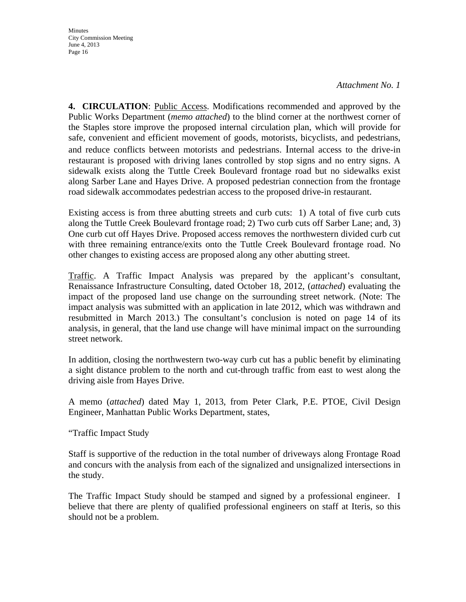*Attachment No. 1*

**4. CIRCULATION**: Public Access. Modifications recommended and approved by the Public Works Department (*memo attached*) to the blind corner at the northwest corner of the Staples store improve the proposed internal circulation plan, which will provide for safe, convenient and efficient movement of goods, motorists, bicyclists, and pedestrians, and reduce conflicts between motorists and pedestrians. Internal access to the drive-in restaurant is proposed with driving lanes controlled by stop signs and no entry signs. A sidewalk exists along the Tuttle Creek Boulevard frontage road but no sidewalks exist along Sarber Lane and Hayes Drive. A proposed pedestrian connection from the frontage road sidewalk accommodates pedestrian access to the proposed drive-in restaurant.

Existing access is from three abutting streets and curb cuts: 1) A total of five curb cuts along the Tuttle Creek Boulevard frontage road; 2) Two curb cuts off Sarber Lane; and, 3) One curb cut off Hayes Drive. Proposed access removes the northwestern divided curb cut with three remaining entrance/exits onto the Tuttle Creek Boulevard frontage road. No other changes to existing access are proposed along any other abutting street.

Traffic. A Traffic Impact Analysis was prepared by the applicant's consultant, Renaissance Infrastructure Consulting, dated October 18, 2012, (*attached*) evaluating the impact of the proposed land use change on the surrounding street network. (Note: The impact analysis was submitted with an application in late 2012, which was withdrawn and resubmitted in March 2013.) The consultant's conclusion is noted on page 14 of its analysis, in general, that the land use change will have minimal impact on the surrounding street network.

In addition, closing the northwestern two-way curb cut has a public benefit by eliminating a sight distance problem to the north and cut-through traffic from east to west along the driving aisle from Hayes Drive.

A memo (*attached*) dated May 1, 2013, from Peter Clark, P.E. PTOE, Civil Design Engineer, Manhattan Public Works Department, states,

"Traffic Impact Study

Staff is supportive of the reduction in the total number of driveways along Frontage Road and concurs with the analysis from each of the signalized and unsignalized intersections in the study.

The Traffic Impact Study should be stamped and signed by a professional engineer. I believe that there are plenty of qualified professional engineers on staff at Iteris, so this should not be a problem.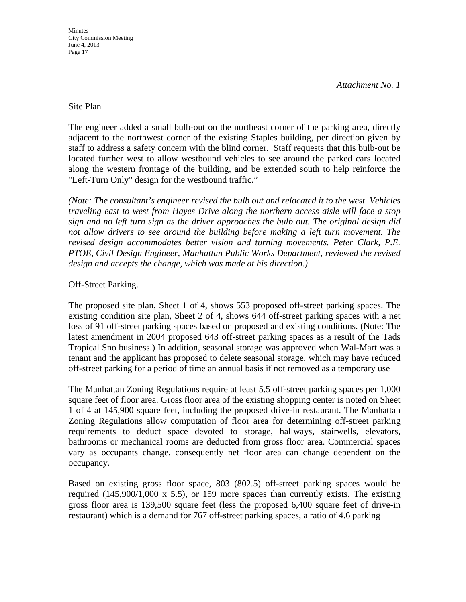## Site Plan

The engineer added a small bulb-out on the northeast corner of the parking area, directly adjacent to the northwest corner of the existing Staples building, per direction given by staff to address a safety concern with the blind corner. Staff requests that this bulb-out be located further west to allow westbound vehicles to see around the parked cars located along the western frontage of the building, and be extended south to help reinforce the "Left-Turn Only" design for the westbound traffic."

*(Note: The consultant's engineer revised the bulb out and relocated it to the west. Vehicles traveling east to west from Hayes Drive along the northern access aisle will face a stop sign and no left turn sign as the driver approaches the bulb out. The original design did not allow drivers to see around the building before making a left turn movement. The revised design accommodates better vision and turning movements. Peter Clark, P.E. PTOE, Civil Design Engineer, Manhattan Public Works Department, reviewed the revised design and accepts the change, which was made at his direction.)* 

## Off-Street Parking.

The proposed site plan, Sheet 1 of 4, shows 553 proposed off-street parking spaces. The existing condition site plan, Sheet 2 of 4, shows 644 off-street parking spaces with a net loss of 91 off-street parking spaces based on proposed and existing conditions. (Note: The latest amendment in 2004 proposed 643 off-street parking spaces as a result of the Tads Tropical Sno business.) In addition, seasonal storage was approved when Wal-Mart was a tenant and the applicant has proposed to delete seasonal storage, which may have reduced off-street parking for a period of time an annual basis if not removed as a temporary use

The Manhattan Zoning Regulations require at least 5.5 off-street parking spaces per 1,000 square feet of floor area. Gross floor area of the existing shopping center is noted on Sheet 1 of 4 at 145,900 square feet, including the proposed drive-in restaurant. The Manhattan Zoning Regulations allow computation of floor area for determining off-street parking requirements to deduct space devoted to storage, hallways, stairwells, elevators, bathrooms or mechanical rooms are deducted from gross floor area. Commercial spaces vary as occupants change, consequently net floor area can change dependent on the occupancy.

Based on existing gross floor space, 803 (802.5) off-street parking spaces would be required  $(145,900/1,000 \times 5.5)$ , or 159 more spaces than currently exists. The existing gross floor area is 139,500 square feet (less the proposed 6,400 square feet of drive-in restaurant) which is a demand for 767 off-street parking spaces, a ratio of 4.6 parking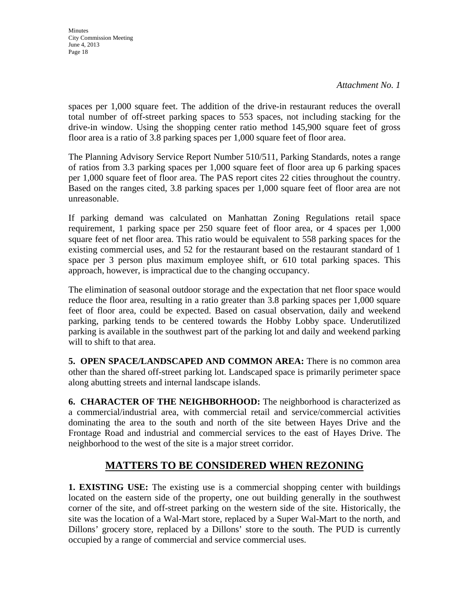spaces per 1,000 square feet. The addition of the drive-in restaurant reduces the overall total number of off-street parking spaces to 553 spaces, not including stacking for the drive-in window. Using the shopping center ratio method 145,900 square feet of gross floor area is a ratio of 3.8 parking spaces per 1,000 square feet of floor area.

The Planning Advisory Service Report Number 510/511, Parking Standards, notes a range of ratios from 3.3 parking spaces per 1,000 square feet of floor area up 6 parking spaces per 1,000 square feet of floor area. The PAS report cites 22 cities throughout the country. Based on the ranges cited, 3.8 parking spaces per 1,000 square feet of floor area are not unreasonable.

If parking demand was calculated on Manhattan Zoning Regulations retail space requirement, 1 parking space per 250 square feet of floor area, or 4 spaces per 1,000 square feet of net floor area. This ratio would be equivalent to 558 parking spaces for the existing commercial uses, and 52 for the restaurant based on the restaurant standard of 1 space per 3 person plus maximum employee shift, or 610 total parking spaces. This approach, however, is impractical due to the changing occupancy.

The elimination of seasonal outdoor storage and the expectation that net floor space would reduce the floor area, resulting in a ratio greater than 3.8 parking spaces per 1,000 square feet of floor area, could be expected. Based on casual observation, daily and weekend parking, parking tends to be centered towards the Hobby Lobby space. Underutilized parking is available in the southwest part of the parking lot and daily and weekend parking will to shift to that area.

**5. OPEN SPACE/LANDSCAPED AND COMMON AREA:** There is no common area other than the shared off-street parking lot. Landscaped space is primarily perimeter space along abutting streets and internal landscape islands.

**6. CHARACTER OF THE NEIGHBORHOOD:** The neighborhood is characterized as a commercial/industrial area, with commercial retail and service/commercial activities dominating the area to the south and north of the site between Hayes Drive and the Frontage Road and industrial and commercial services to the east of Hayes Drive. The neighborhood to the west of the site is a major street corridor.

# **MATTERS TO BE CONSIDERED WHEN REZONING**

**1. EXISTING USE:** The existing use is a commercial shopping center with buildings located on the eastern side of the property, one out building generally in the southwest corner of the site, and off-street parking on the western side of the site. Historically, the site was the location of a Wal-Mart store, replaced by a Super Wal-Mart to the north, and Dillons' grocery store, replaced by a Dillons' store to the south. The PUD is currently occupied by a range of commercial and service commercial uses.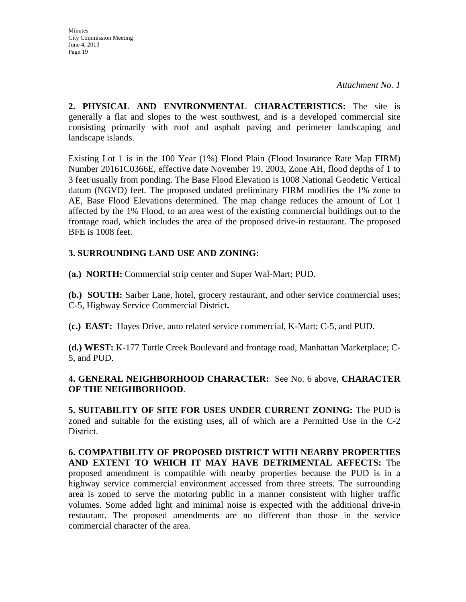**Minutes** City Commission Meeting June 4, 2013 Page 19

**2. PHYSICAL AND ENVIRONMENTAL CHARACTERISTICS:** The site is generally a flat and slopes to the west southwest, and is a developed commercial site consisting primarily with roof and asphalt paving and perimeter landscaping and landscape islands.

Existing Lot 1 is in the 100 Year (1%) Flood Plain (Flood Insurance Rate Map FIRM) Number 20161C0366E, effective date November 19, 2003, Zone AH, flood depths of 1 to 3 feet usually from ponding. The Base Flood Elevation is 1008 National Geodetic Vertical datum (NGVD) feet. The proposed undated preliminary FIRM modifies the 1% zone to AE, Base Flood Elevations determined. The map change reduces the amount of Lot 1 affected by the 1% Flood, to an area west of the existing commercial buildings out to the frontage road, which includes the area of the proposed drive-in restaurant. The proposed BFE is 1008 feet.

## **3. SURROUNDING LAND USE AND ZONING:**

**(a.) NORTH:** Commercial strip center and Super Wal-Mart; PUD.

**(b.) SOUTH:** Sarber Lane, hotel, grocery restaurant, and other service commercial uses; C-5, Highway Service Commercial District**.** 

**(c.) EAST:** Hayes Drive, auto related service commercial, K-Mart; C-5, and PUD.

**(d.) WEST:** K-177 Tuttle Creek Boulevard and frontage road, Manhattan Marketplace; C-5, and PUD.

## **4. GENERAL NEIGHBORHOOD CHARACTER:** See No. 6 above, **CHARACTER OF THE NEIGHBORHOOD**.

**5. SUITABILITY OF SITE FOR USES UNDER CURRENT ZONING:** The PUD is zoned and suitable for the existing uses, all of which are a Permitted Use in the C-2 District.

**6. COMPATIBILITY OF PROPOSED DISTRICT WITH NEARBY PROPERTIES AND EXTENT TO WHICH IT MAY HAVE DETRIMENTAL AFFECTS:** The proposed amendment is compatible with nearby properties because the PUD is in a highway service commercial environment accessed from three streets. The surrounding area is zoned to serve the motoring public in a manner consistent with higher traffic volumes. Some added light and minimal noise is expected with the additional drive-in restaurant. The proposed amendments are no different than those in the service commercial character of the area.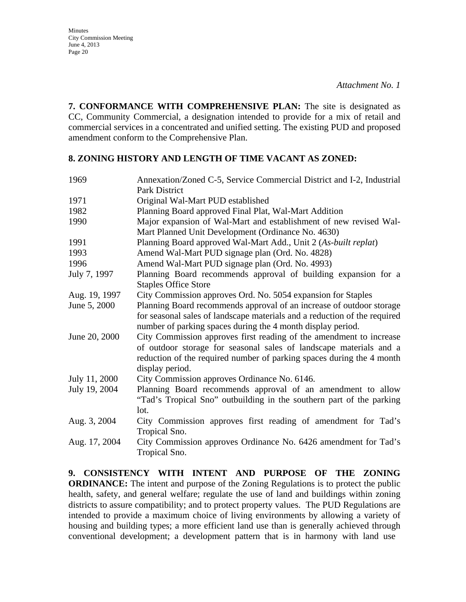**7. CONFORMANCE WITH COMPREHENSIVE PLAN:** The site is designated as CC, Community Commercial, a designation intended to provide for a mix of retail and commercial services in a concentrated and unified setting. The existing PUD and proposed amendment conform to the Comprehensive Plan.

## **8. ZONING HISTORY AND LENGTH OF TIME VACANT AS ZONED:**

| 1969          | Annexation/Zoned C-5, Service Commercial District and I-2, Industrial     |
|---------------|---------------------------------------------------------------------------|
|               | Park District                                                             |
| 1971          | Original Wal-Mart PUD established                                         |
| 1982          | Planning Board approved Final Plat, Wal-Mart Addition                     |
| 1990          | Major expansion of Wal-Mart and establishment of new revised Wal-         |
|               | Mart Planned Unit Development (Ordinance No. 4630)                        |
| 1991          | Planning Board approved Wal-Mart Add., Unit 2 (As-built replat)           |
| 1993          | Amend Wal-Mart PUD signage plan (Ord. No. 4828)                           |
| 1996          | Amend Wal-Mart PUD signage plan (Ord. No. 4993)                           |
| July 7, 1997  | Planning Board recommends approval of building expansion for a            |
|               | <b>Staples Office Store</b>                                               |
| Aug. 19, 1997 | City Commission approves Ord. No. 5054 expansion for Staples              |
| June 5, 2000  | Planning Board recommends approval of an increase of outdoor storage      |
|               | for seasonal sales of landscape materials and a reduction of the required |
|               | number of parking spaces during the 4 month display period.               |
| June 20, 2000 | City Commission approves first reading of the amendment to increase       |
|               | of outdoor storage for seasonal sales of landscape materials and a        |
|               | reduction of the required number of parking spaces during the 4 month     |
|               | display period.                                                           |
| July 11, 2000 | City Commission approves Ordinance No. 6146.                              |
| July 19, 2004 | Planning Board recommends approval of an amendment to allow               |
|               | "Tad's Tropical Sno" outbuilding in the southern part of the parking      |
|               | lot.                                                                      |
| Aug. 3, 2004  | City Commission approves first reading of amendment for Tad's             |
|               | Tropical Sno.                                                             |
| Aug. 17, 2004 | City Commission approves Ordinance No. 6426 amendment for Tad's           |
|               | Tropical Sno.                                                             |

**9. CONSISTENCY WITH INTENT AND PURPOSE OF THE ZONING ORDINANCE:** The intent and purpose of the Zoning Regulations is to protect the public health, safety, and general welfare; regulate the use of land and buildings within zoning districts to assure compatibility; and to protect property values. The PUD Regulations are intended to provide a maximum choice of living environments by allowing a variety of housing and building types; a more efficient land use than is generally achieved through conventional development; a development pattern that is in harmony with land use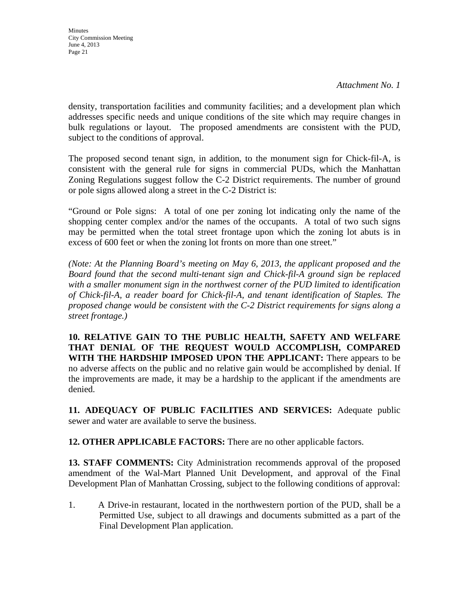*Attachment No. 1*

density, transportation facilities and community facilities; and a development plan which addresses specific needs and unique conditions of the site which may require changes in bulk regulations or layout. The proposed amendments are consistent with the PUD, subject to the conditions of approval.

The proposed second tenant sign, in addition, to the monument sign for Chick-fil-A, is consistent with the general rule for signs in commercial PUDs, which the Manhattan Zoning Regulations suggest follow the C-2 District requirements. The number of ground or pole signs allowed along a street in the C-2 District is:

"Ground or Pole signs: A total of one per zoning lot indicating only the name of the shopping center complex and/or the names of the occupants. A total of two such signs may be permitted when the total street frontage upon which the zoning lot abuts is in excess of 600 feet or when the zoning lot fronts on more than one street."

*(Note: At the Planning Board's meeting on May 6, 2013, the applicant proposed and the Board found that the second multi-tenant sign and Chick-fil-A ground sign be replaced with a smaller monument sign in the northwest corner of the PUD limited to identification of Chick-fil-A, a reader board for Chick-fil-A, and tenant identification of Staples. The proposed change would be consistent with the C-2 District requirements for signs along a street frontage.)* 

**10. RELATIVE GAIN TO THE PUBLIC HEALTH, SAFETY AND WELFARE THAT DENIAL OF THE REQUEST WOULD ACCOMPLISH, COMPARED WITH THE HARDSHIP IMPOSED UPON THE APPLICANT:** There appears to be no adverse affects on the public and no relative gain would be accomplished by denial. If the improvements are made, it may be a hardship to the applicant if the amendments are denied.

**11. ADEQUACY OF PUBLIC FACILITIES AND SERVICES:** Adequate public sewer and water are available to serve the business.

**12. OTHER APPLICABLE FACTORS:** There are no other applicable factors.

**13. STAFF COMMENTS:** City Administration recommends approval of the proposed amendment of the Wal-Mart Planned Unit Development, and approval of the Final Development Plan of Manhattan Crossing, subject to the following conditions of approval:

1. A Drive-in restaurant, located in the northwestern portion of the PUD, shall be a Permitted Use, subject to all drawings and documents submitted as a part of the Final Development Plan application.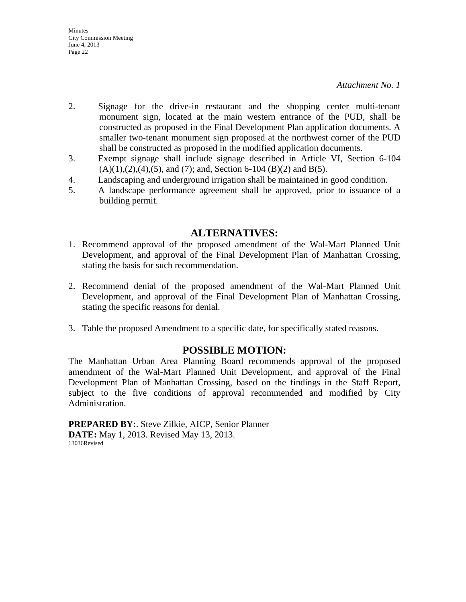- 2. Signage for the drive-in restaurant and the shopping center multi-tenant monument sign, located at the main western entrance of the PUD, shall be constructed as proposed in the Final Development Plan application documents. A smaller two-tenant monument sign proposed at the northwest corner of the PUD shall be constructed as proposed in the modified application documents.
- 3. Exempt signage shall include signage described in Article VI, Section 6-104  $(A)(1),(2),(4),(5)$ , and  $(7)$ ; and, Section 6-104  $(B)(2)$  and  $B(5)$ .
- 4. Landscaping and underground irrigation shall be maintained in good condition.
- 5. A landscape performance agreement shall be approved, prior to issuance of a building permit.

## **ALTERNATIVES:**

- 1. Recommend approval of the proposed amendment of the Wal-Mart Planned Unit Development, and approval of the Final Development Plan of Manhattan Crossing, stating the basis for such recommendation.
- 2. Recommend denial of the proposed amendment of the Wal-Mart Planned Unit Development, and approval of the Final Development Plan of Manhattan Crossing, stating the specific reasons for denial.
- 3. Table the proposed Amendment to a specific date, for specifically stated reasons.

# **POSSIBLE MOTION:**

The Manhattan Urban Area Planning Board recommends approval of the proposed amendment of the Wal-Mart Planned Unit Development, and approval of the Final Development Plan of Manhattan Crossing, based on the findings in the Staff Report, subject to the five conditions of approval recommended and modified by City Administration.

**PREPARED BY:**. Steve Zilkie, AICP, Senior Planner **DATE:** May 1, 2013. Revised May 13, 2013. 13036Revised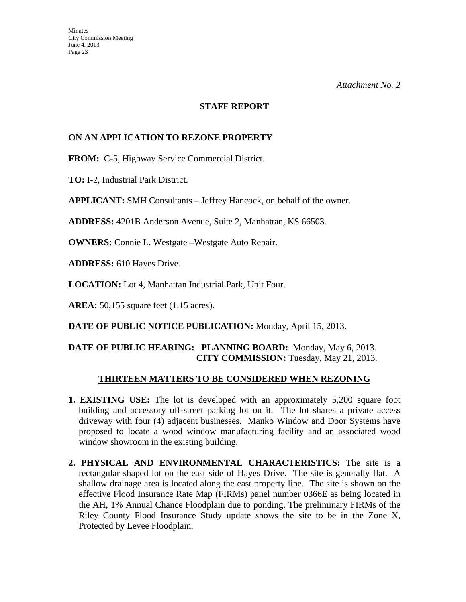#### **STAFF REPORT**

## **ON AN APPLICATION TO REZONE PROPERTY**

**FROM:** C-5, Highway Service Commercial District.

**TO:** I-2, Industrial Park District.

**APPLICANT:** SMH Consultants – Jeffrey Hancock, on behalf of the owner.

**ADDRESS:** 4201B Anderson Avenue, Suite 2, Manhattan, KS 66503.

**OWNERS:** Connie L. Westgate –Westgate Auto Repair.

**ADDRESS:** 610 Hayes Drive.

**LOCATION:** Lot 4, Manhattan Industrial Park, Unit Four.

**AREA:** 50,155 square feet (1.15 acres).

**DATE OF PUBLIC NOTICE PUBLICATION:** Monday, April 15, 2013.

## **DATE OF PUBLIC HEARING: PLANNING BOARD:** Monday, May 6, 2013. **CITY COMMISSION:** Tuesday, May 21, 2013.

### **THIRTEEN MATTERS TO BE CONSIDERED WHEN REZONING**

- **1. EXISTING USE:** The lot is developed with an approximately 5,200 square foot building and accessory off-street parking lot on it. The lot shares a private access driveway with four (4) adjacent businesses. Manko Window and Door Systems have proposed to locate a wood window manufacturing facility and an associated wood window showroom in the existing building.
- **2. PHYSICAL AND ENVIRONMENTAL CHARACTERISTICS:** The site is a rectangular shaped lot on the east side of Hayes Drive. The site is generally flat. A shallow drainage area is located along the east property line. The site is shown on the effective Flood Insurance Rate Map (FIRMs) panel number 0366E as being located in the AH, 1% Annual Chance Floodplain due to ponding. The preliminary FIRMs of the Riley County Flood Insurance Study update shows the site to be in the Zone X, Protected by Levee Floodplain.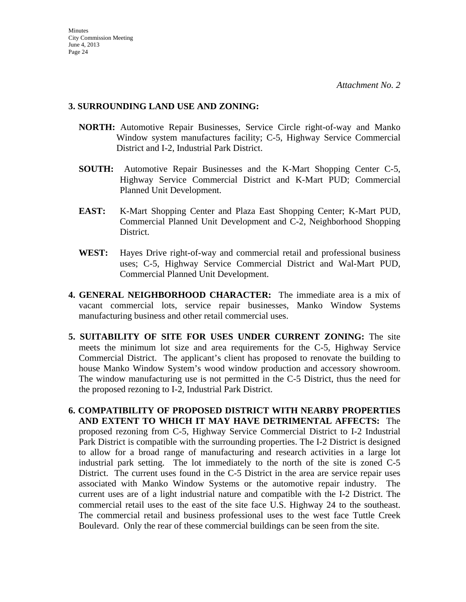### **3. SURROUNDING LAND USE AND ZONING:**

- **NORTH:** Automotive Repair Businesses, Service Circle right-of-way and Manko Window system manufactures facility; C-5, Highway Service Commercial District and I-2, Industrial Park District.
- **SOUTH:** Automotive Repair Businesses and the K-Mart Shopping Center C-5, Highway Service Commercial District and K-Mart PUD; Commercial Planned Unit Development.
- **EAST:** K-Mart Shopping Center and Plaza East Shopping Center; K-Mart PUD, Commercial Planned Unit Development and C-2, Neighborhood Shopping District.
- **WEST:** Hayes Drive right-of-way and commercial retail and professional business uses; C-5, Highway Service Commercial District and Wal-Mart PUD, Commercial Planned Unit Development.
- **4. GENERAL NEIGHBORHOOD CHARACTER:** The immediate area is a mix of vacant commercial lots, service repair businesses, Manko Window Systems manufacturing business and other retail commercial uses.
- **5. SUITABILITY OF SITE FOR USES UNDER CURRENT ZONING:** The site meets the minimum lot size and area requirements for the C-5, Highway Service Commercial District. The applicant's client has proposed to renovate the building to house Manko Window System's wood window production and accessory showroom. The window manufacturing use is not permitted in the C-5 District, thus the need for the proposed rezoning to I-2, Industrial Park District.
- **6. COMPATIBILITY OF PROPOSED DISTRICT WITH NEARBY PROPERTIES AND EXTENT TO WHICH IT MAY HAVE DETRIMENTAL AFFECTS:** The proposed rezoning from C-5, Highway Service Commercial District to I-2 Industrial Park District is compatible with the surrounding properties. The I-2 District is designed to allow for a broad range of manufacturing and research activities in a large lot industrial park setting. The lot immediately to the north of the site is zoned C-5 District. The current uses found in the C-5 District in the area are service repair uses associated with Manko Window Systems or the automotive repair industry. The current uses are of a light industrial nature and compatible with the I-2 District. The commercial retail uses to the east of the site face U.S. Highway 24 to the southeast. The commercial retail and business professional uses to the west face Tuttle Creek Boulevard. Only the rear of these commercial buildings can be seen from the site.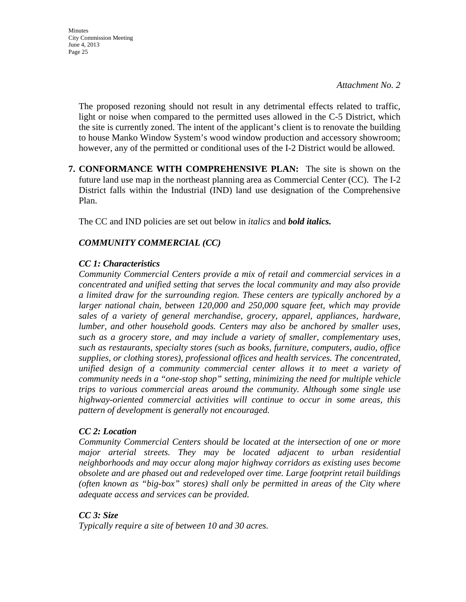*Attachment No. 2*

 The proposed rezoning should not result in any detrimental effects related to traffic, light or noise when compared to the permitted uses allowed in the C-5 District, which the site is currently zoned. The intent of the applicant's client is to renovate the building to house Manko Window System's wood window production and accessory showroom; however, any of the permitted or conditional uses of the I-2 District would be allowed.

**7. CONFORMANCE WITH COMPREHENSIVE PLAN:** The site is shown on the future land use map in the northeast planning area as Commercial Center (CC). The I-2 District falls within the Industrial (IND) land use designation of the Comprehensive Plan.

The CC and IND policies are set out below in *italics* and *bold italics.*

## *COMMUNITY COMMERCIAL (CC)*

### *CC 1: Characteristics*

*Community Commercial Centers provide a mix of retail and commercial services in a concentrated and unified setting that serves the local community and may also provide a limited draw for the surrounding region. These centers are typically anchored by a larger national chain, between 120,000 and 250,000 square feet, which may provide sales of a variety of general merchandise, grocery, apparel, appliances, hardware, lumber, and other household goods. Centers may also be anchored by smaller uses, such as a grocery store, and may include a variety of smaller, complementary uses, such as restaurants, specialty stores (such as books, furniture, computers, audio, office supplies, or clothing stores), professional offices and health services. The concentrated, unified design of a community commercial center allows it to meet a variety of community needs in a "one-stop shop" setting, minimizing the need for multiple vehicle trips to various commercial areas around the community. Although some single use highway-oriented commercial activities will continue to occur in some areas, this pattern of development is generally not encouraged.* 

## *CC 2: Location*

*Community Commercial Centers should be located at the intersection of one or more major arterial streets. They may be located adjacent to urban residential neighborhoods and may occur along major highway corridors as existing uses become obsolete and are phased out and redeveloped over time. Large footprint retail buildings (often known as "big-box" stores) shall only be permitted in areas of the City where adequate access and services can be provided.* 

## *CC 3: Size*

*Typically require a site of between 10 and 30 acres.*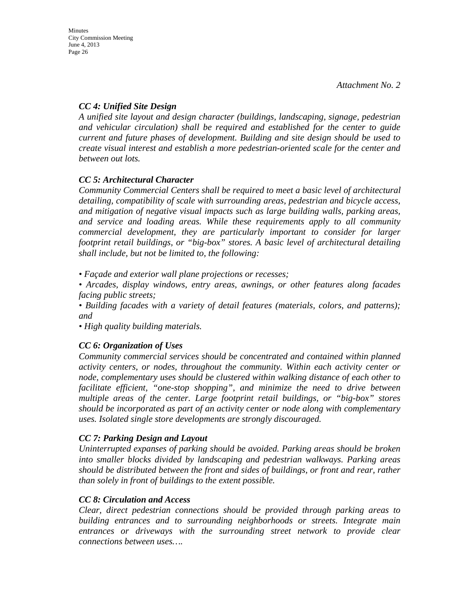## *CC 4: Unified Site Design*

*A unified site layout and design character (buildings, landscaping, signage, pedestrian and vehicular circulation) shall be required and established for the center to guide current and future phases of development. Building and site design should be used to create visual interest and establish a more pedestrian-oriented scale for the center and between out lots.* 

## *CC 5: Architectural Character*

*Community Commercial Centers shall be required to meet a basic level of architectural detailing, compatibility of scale with surrounding areas, pedestrian and bicycle access, and mitigation of negative visual impacts such as large building walls, parking areas, and service and loading areas. While these requirements apply to all community commercial development, they are particularly important to consider for larger footprint retail buildings, or "big-box" stores. A basic level of architectural detailing shall include, but not be limited to, the following:* 

*• Façade and exterior wall plane projections or recesses;* 

*• Arcades, display windows, entry areas, awnings, or other features along facades facing public streets;* 

*• Building facades with a variety of detail features (materials, colors, and patterns); and* 

*• High quality building materials.* 

# *CC 6: Organization of Uses*

*Community commercial services should be concentrated and contained within planned activity centers, or nodes, throughout the community. Within each activity center or node, complementary uses should be clustered within walking distance of each other to facilitate efficient, "one-stop shopping", and minimize the need to drive between multiple areas of the center. Large footprint retail buildings, or "big-box" stores should be incorporated as part of an activity center or node along with complementary uses. Isolated single store developments are strongly discouraged.* 

## *CC 7: Parking Design and Layout*

*Uninterrupted expanses of parking should be avoided. Parking areas should be broken into smaller blocks divided by landscaping and pedestrian walkways. Parking areas should be distributed between the front and sides of buildings, or front and rear, rather than solely in front of buildings to the extent possible.* 

## *CC 8: Circulation and Access*

*Clear, direct pedestrian connections should be provided through parking areas to building entrances and to surrounding neighborhoods or streets. Integrate main entrances or driveways with the surrounding street network to provide clear connections between uses….*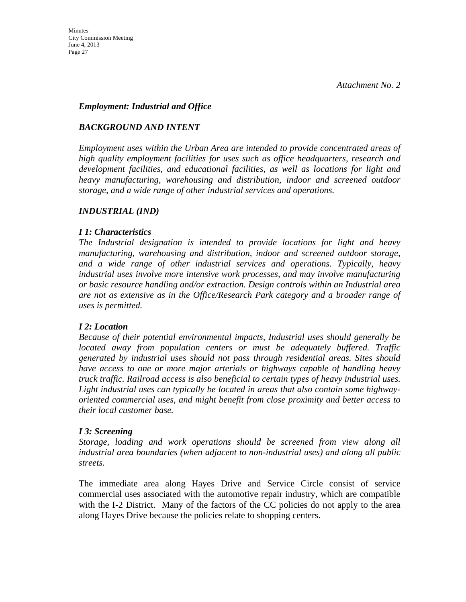### *Employment: Industrial and Office*

## *BACKGROUND AND INTENT*

*Employment uses within the Urban Area are intended to provide concentrated areas of high quality employment facilities for uses such as office headquarters, research and development facilities, and educational facilities, as well as locations for light and heavy manufacturing, warehousing and distribution, indoor and screened outdoor storage, and a wide range of other industrial services and operations.* 

### *INDUSTRIAL (IND)*

### *I 1: Characteristics*

*The Industrial designation is intended to provide locations for light and heavy manufacturing, warehousing and distribution, indoor and screened outdoor storage, and a wide range of other industrial services and operations. Typically, heavy industrial uses involve more intensive work processes, and may involve manufacturing or basic resource handling and/or extraction. Design controls within an Industrial area are not as extensive as in the Office/Research Park category and a broader range of uses is permitted.* 

## *I 2: Location*

*Because of their potential environmental impacts, Industrial uses should generally be located away from population centers or must be adequately buffered. Traffic generated by industrial uses should not pass through residential areas. Sites should have access to one or more major arterials or highways capable of handling heavy truck traffic. Railroad access is also beneficial to certain types of heavy industrial uses. Light industrial uses can typically be located in areas that also contain some highwayoriented commercial uses, and might benefit from close proximity and better access to their local customer base.* 

### *I 3: Screening*

*Storage, loading and work operations should be screened from view along all industrial area boundaries (when adjacent to non-industrial uses) and along all public streets.* 

The immediate area along Hayes Drive and Service Circle consist of service commercial uses associated with the automotive repair industry, which are compatible with the I-2 District. Many of the factors of the CC policies do not apply to the area along Hayes Drive because the policies relate to shopping centers.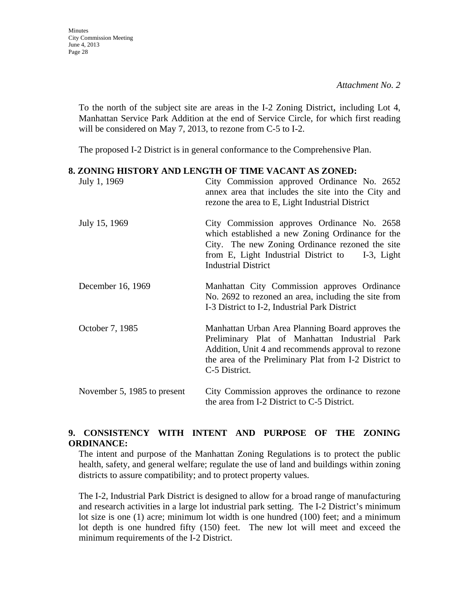**Minutes** City Commission Meeting June 4, 2013 Page 28

> To the north of the subject site are areas in the I-2 Zoning District, including Lot 4, Manhattan Service Park Addition at the end of Service Circle, for which first reading will be considered on May 7, 2013, to rezone from C-5 to I-2.

The proposed I-2 District is in general conformance to the Comprehensive Plan.

### **8. ZONING HISTORY AND LENGTH OF TIME VACANT AS ZONED:**

| July 1, 1969                | City Commission approved Ordinance No. 2652<br>annex area that includes the site into the City and<br>rezone the area to E, Light Industrial District                                                                               |
|-----------------------------|-------------------------------------------------------------------------------------------------------------------------------------------------------------------------------------------------------------------------------------|
| July 15, 1969               | City Commission approves Ordinance No. 2658<br>which established a new Zoning Ordinance for the<br>City. The new Zoning Ordinance rezoned the site<br>from E, Light Industrial District to I-3, Light<br><b>Industrial District</b> |
| December 16, 1969           | Manhattan City Commission approves Ordinance<br>No. 2692 to rezoned an area, including the site from<br>I-3 District to I-2, Industrial Park District                                                                               |
| October 7, 1985             | Manhattan Urban Area Planning Board approves the<br>Preliminary Plat of Manhattan Industrial Park<br>Addition, Unit 4 and recommends approval to rezone<br>the area of the Preliminary Plat from I-2 District to<br>C-5 District.   |
| November 5, 1985 to present | City Commission approves the ordinance to rezone<br>the area from I-2 District to C-5 District.                                                                                                                                     |

## **9. CONSISTENCY WITH INTENT AND PURPOSE OF THE ZONING ORDINANCE:**

The intent and purpose of the Manhattan Zoning Regulations is to protect the public health, safety, and general welfare; regulate the use of land and buildings within zoning districts to assure compatibility; and to protect property values.

The I-2, Industrial Park District is designed to allow for a broad range of manufacturing and research activities in a large lot industrial park setting. The I-2 District's minimum lot size is one (1) acre; minimum lot width is one hundred (100) feet; and a minimum lot depth is one hundred fifty (150) feet. The new lot will meet and exceed the minimum requirements of the I-2 District.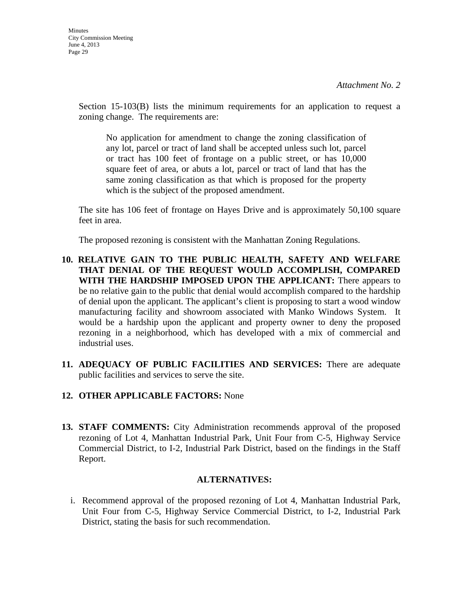Section 15-103(B) lists the minimum requirements for an application to request a zoning change. The requirements are:

No application for amendment to change the zoning classification of any lot, parcel or tract of land shall be accepted unless such lot, parcel or tract has 100 feet of frontage on a public street, or has 10,000 square feet of area, or abuts a lot, parcel or tract of land that has the same zoning classification as that which is proposed for the property which is the subject of the proposed amendment.

The site has 106 feet of frontage on Hayes Drive and is approximately 50,100 square feet in area.

The proposed rezoning is consistent with the Manhattan Zoning Regulations.

- **10. RELATIVE GAIN TO THE PUBLIC HEALTH, SAFETY AND WELFARE THAT DENIAL OF THE REQUEST WOULD ACCOMPLISH, COMPARED WITH THE HARDSHIP IMPOSED UPON THE APPLICANT:** There appears to be no relative gain to the public that denial would accomplish compared to the hardship of denial upon the applicant. The applicant's client is proposing to start a wood window manufacturing facility and showroom associated with Manko Windows System. It would be a hardship upon the applicant and property owner to deny the proposed rezoning in a neighborhood, which has developed with a mix of commercial and industrial uses.
- **11. ADEQUACY OF PUBLIC FACILITIES AND SERVICES:** There are adequate public facilities and services to serve the site.

# **12. OTHER APPLICABLE FACTORS:** None

**13. STAFF COMMENTS:** City Administration recommends approval of the proposed rezoning of Lot 4, Manhattan Industrial Park, Unit Four from C-5, Highway Service Commercial District, to I-2, Industrial Park District, based on the findings in the Staff Report.

## **ALTERNATIVES:**

i. Recommend approval of the proposed rezoning of Lot 4, Manhattan Industrial Park, Unit Four from C-5, Highway Service Commercial District, to I-2, Industrial Park District, stating the basis for such recommendation.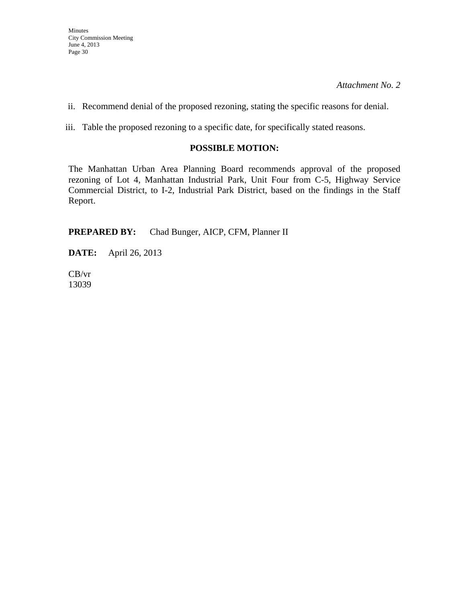ii. Recommend denial of the proposed rezoning, stating the specific reasons for denial.

iii. Table the proposed rezoning to a specific date, for specifically stated reasons.

## **POSSIBLE MOTION:**

The Manhattan Urban Area Planning Board recommends approval of the proposed rezoning of Lot 4, Manhattan Industrial Park, Unit Four from C-5, Highway Service Commercial District, to I-2, Industrial Park District, based on the findings in the Staff Report.

**PREPARED BY:** Chad Bunger, AICP, CFM, Planner II

**DATE:** April 26, 2013

CB/vr 13039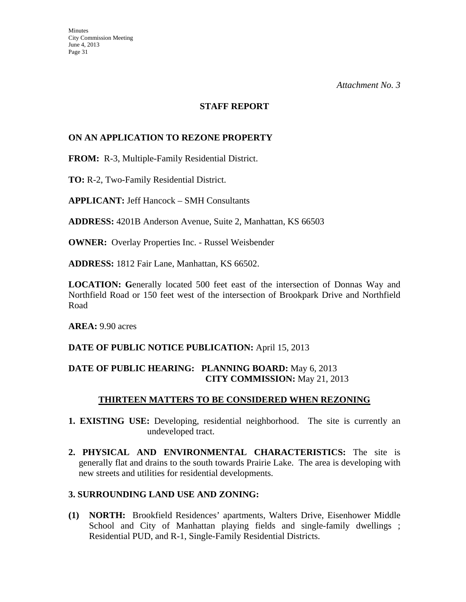#### **STAFF REPORT**

### **ON AN APPLICATION TO REZONE PROPERTY**

**FROM:** R-3, Multiple-Family Residential District.

**TO:** R-2, Two-Family Residential District.

**APPLICANT:** Jeff Hancock – SMH Consultants

**ADDRESS:** 4201B Anderson Avenue, Suite 2, Manhattan, KS 66503

**OWNER:** Overlay Properties Inc. - Russel Weisbender

**ADDRESS:** 1812 Fair Lane, Manhattan, KS 66502.

**LOCATION: G**enerally located 500 feet east of the intersection of Donnas Way and Northfield Road or 150 feet west of the intersection of Brookpark Drive and Northfield Road

**AREA:** 9.90 acres

### **DATE OF PUBLIC NOTICE PUBLICATION:** April 15, 2013

### **DATE OF PUBLIC HEARING: PLANNING BOARD:** May 6, 2013 **CITY COMMISSION:** May 21, 2013

### **THIRTEEN MATTERS TO BE CONSIDERED WHEN REZONING**

- **1. EXISTING USE:** Developing, residential neighborhood. The site is currently an undeveloped tract.
- **2. PHYSICAL AND ENVIRONMENTAL CHARACTERISTICS:** The site is generally flat and drains to the south towards Prairie Lake. The area is developing with new streets and utilities for residential developments.

### **3. SURROUNDING LAND USE AND ZONING:**

**(1) NORTH:** Brookfield Residences' apartments, Walters Drive, Eisenhower Middle School and City of Manhattan playing fields and single-family dwellings; Residential PUD, and R-1, Single-Family Residential Districts.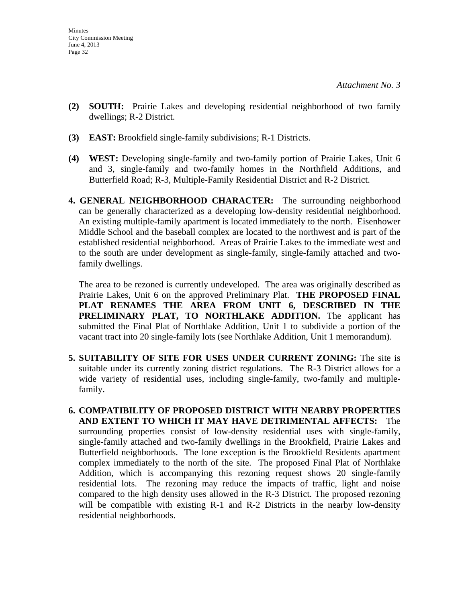- **(2) SOUTH:** Prairie Lakes and developing residential neighborhood of two family dwellings; R-2 District.
- **(3) EAST:** Brookfield single-family subdivisions; R-1 Districts.
- **(4) WEST:** Developing single-family and two-family portion of Prairie Lakes, Unit 6 and 3, single-family and two-family homes in the Northfield Additions, and Butterfield Road; R-3, Multiple-Family Residential District and R-2 District.
- **4. GENERAL NEIGHBORHOOD CHARACTER:** The surrounding neighborhood can be generally characterized as a developing low-density residential neighborhood. An existing multiple-family apartment is located immediately to the north. Eisenhower Middle School and the baseball complex are located to the northwest and is part of the established residential neighborhood. Areas of Prairie Lakes to the immediate west and to the south are under development as single-family, single-family attached and twofamily dwellings.

 The area to be rezoned is currently undeveloped. The area was originally described as Prairie Lakes, Unit 6 on the approved Preliminary Plat. **THE PROPOSED FINAL PLAT RENAMES THE AREA FROM UNIT 6, DESCRIBED IN THE PRELIMINARY PLAT, TO NORTHLAKE ADDITION.** The applicant has submitted the Final Plat of Northlake Addition, Unit 1 to subdivide a portion of the vacant tract into 20 single-family lots (see Northlake Addition, Unit 1 memorandum).

- **5. SUITABILITY OF SITE FOR USES UNDER CURRENT ZONING:** The site is suitable under its currently zoning district regulations. The R-3 District allows for a wide variety of residential uses, including single-family, two-family and multiplefamily.
- **6. COMPATIBILITY OF PROPOSED DISTRICT WITH NEARBY PROPERTIES AND EXTENT TO WHICH IT MAY HAVE DETRIMENTAL AFFECTS:** The surrounding properties consist of low-density residential uses with single-family, single-family attached and two-family dwellings in the Brookfield, Prairie Lakes and Butterfield neighborhoods. The lone exception is the Brookfield Residents apartment complex immediately to the north of the site. The proposed Final Plat of Northlake Addition, which is accompanying this rezoning request shows 20 single-family residential lots. The rezoning may reduce the impacts of traffic, light and noise compared to the high density uses allowed in the R-3 District. The proposed rezoning will be compatible with existing R-1 and R-2 Districts in the nearby low-density residential neighborhoods.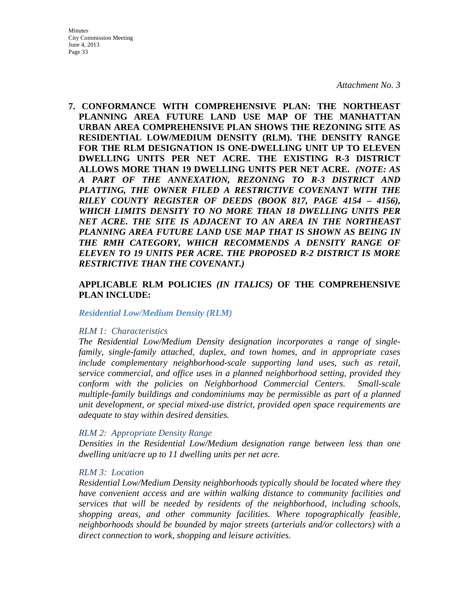#### *Attachment No. 3*

**7. CONFORMANCE WITH COMPREHENSIVE PLAN: THE NORTHEAST PLANNING AREA FUTURE LAND USE MAP OF THE MANHATTAN URBAN AREA COMPREHENSIVE PLAN SHOWS THE REZONING SITE AS RESIDENTIAL LOW/MEDIUM DENSITY (RLM). THE DENSITY RANGE FOR THE RLM DESIGNATION IS ONE-DWELLING UNIT UP TO ELEVEN DWELLING UNITS PER NET ACRE. THE EXISTING R-3 DISTRICT ALLOWS MORE THAN 19 DWELLING UNITS PER NET ACRE.** *(NOTE: AS A PART OF THE ANNEXATION, REZONING TO R-3 DISTRICT AND PLATTING, THE OWNER FILED A RESTRICTIVE COVENANT WITH THE RILEY COUNTY REGISTER OF DEEDS (BOOK 817, PAGE 4154 – 4156), WHICH LIMITS DENSITY TO NO MORE THAN 18 DWELLING UNITS PER NET ACRE. THE SITE IS ADJACENT TO AN AREA IN THE NORTHEAST PLANNING AREA FUTURE LAND USE MAP THAT IS SHOWN AS BEING IN THE RMH CATEGORY, WHICH RECOMMENDS A DENSITY RANGE OF ELEVEN TO 19 UNITS PER ACRE. THE PROPOSED R-2 DISTRICT IS MORE RESTRICTIVE THAN THE COVENANT.)*

### **APPLICABLE RLM POLICIES** *(IN ITALICS)* **OF THE COMPREHENSIVE PLAN INCLUDE:**

#### *Residential Low/Medium Density (RLM)*

#### *RLM 1: Characteristics*

*The Residential Low/Medium Density designation incorporates a range of singlefamily, single-family attached, duplex, and town homes, and in appropriate cases include complementary neighborhood-scale supporting land uses, such as retail, service commercial, and office uses in a planned neighborhood setting, provided they conform with the policies on Neighborhood Commercial Centers. Small-scale multiple-family buildings and condominiums may be permissible as part of a planned unit development, or special mixed-use district, provided open space requirements are adequate to stay within desired densities.* 

#### *RLM 2: Appropriate Density Range*

*Densities in the Residential Low/Medium designation range between less than one dwelling unit/acre up to 11 dwelling units per net acre.* 

#### *RLM 3: Location*

*Residential Low/Medium Density neighborhoods typically should be located where they have convenient access and are within walking distance to community facilities and services that will be needed by residents of the neighborhood, including schools, shopping areas, and other community facilities. Where topographically feasible, neighborhoods should be bounded by major streets (arterials and/or collectors) with a direct connection to work, shopping and leisure activities.*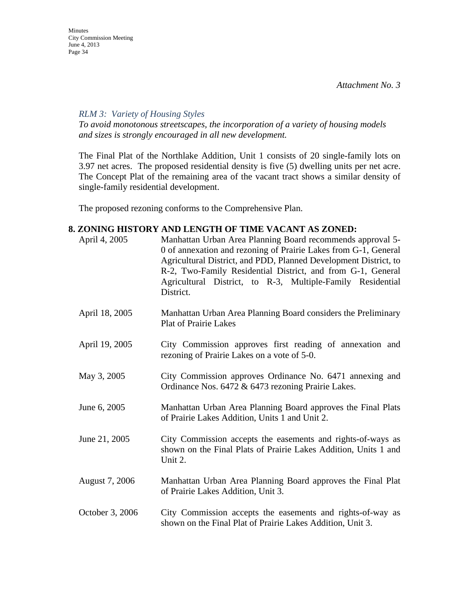*RLM 3: Variety of Housing Styles* 

*To avoid monotonous streetscapes, the incorporation of a variety of housing models and sizes is strongly encouraged in all new development.* 

The Final Plat of the Northlake Addition, Unit 1 consists of 20 single-family lots on 3.97 net acres. The proposed residential density is five (5) dwelling units per net acre. The Concept Plat of the remaining area of the vacant tract shows a similar density of single-family residential development.

The proposed rezoning conforms to the Comprehensive Plan.

### **8. ZONING HISTORY AND LENGTH OF TIME VACANT AS ZONED:**

| April 4, 2005   | Manhattan Urban Area Planning Board recommends approval 5-<br>0 of annexation and rezoning of Prairie Lakes from G-1, General<br>Agricultural District, and PDD, Planned Development District, to<br>R-2, Two-Family Residential District, and from G-1, General<br>Agricultural District, to R-3, Multiple-Family Residential<br>District. |
|-----------------|---------------------------------------------------------------------------------------------------------------------------------------------------------------------------------------------------------------------------------------------------------------------------------------------------------------------------------------------|
| April 18, 2005  | Manhattan Urban Area Planning Board considers the Preliminary<br><b>Plat of Prairie Lakes</b>                                                                                                                                                                                                                                               |
| April 19, 2005  | City Commission approves first reading of annexation and<br>rezoning of Prairie Lakes on a vote of 5-0.                                                                                                                                                                                                                                     |
| May 3, 2005     | City Commission approves Ordinance No. 6471 annexing and<br>Ordinance Nos. 6472 & 6473 rezoning Prairie Lakes.                                                                                                                                                                                                                              |
| June 6, 2005    | Manhattan Urban Area Planning Board approves the Final Plats<br>of Prairie Lakes Addition, Units 1 and Unit 2.                                                                                                                                                                                                                              |
| June 21, 2005   | City Commission accepts the easements and rights-of-ways as<br>shown on the Final Plats of Prairie Lakes Addition, Units 1 and<br>Unit 2.                                                                                                                                                                                                   |
| August 7, 2006  | Manhattan Urban Area Planning Board approves the Final Plat<br>of Prairie Lakes Addition, Unit 3.                                                                                                                                                                                                                                           |
| October 3, 2006 | City Commission accepts the easements and rights-of-way as<br>shown on the Final Plat of Prairie Lakes Addition, Unit 3.                                                                                                                                                                                                                    |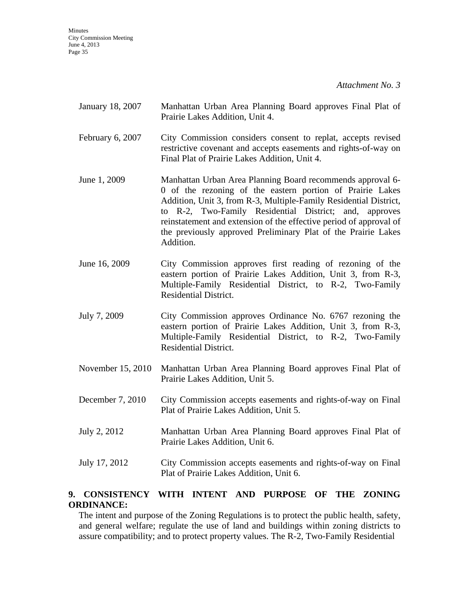*Attachment No. 3*

| January 18, 2007 | Manhattan Urban Area Planning Board approves Final Plat of |  |  |  |  |
|------------------|------------------------------------------------------------|--|--|--|--|
|                  | Prairie Lakes Addition, Unit 4.                            |  |  |  |  |

- February 6, 2007 City Commission considers consent to replat, accepts revised restrictive covenant and accepts easements and rights-of-way on Final Plat of Prairie Lakes Addition, Unit 4.
- June 1, 2009 Manhattan Urban Area Planning Board recommends approval 6- 0 of the rezoning of the eastern portion of Prairie Lakes Addition, Unit 3, from R-3, Multiple-Family Residential District, to R-2, Two-Family Residential District; and, approves reinstatement and extension of the effective period of approval of the previously approved Preliminary Plat of the Prairie Lakes Addition.
- June 16, 2009 City Commission approves first reading of rezoning of the eastern portion of Prairie Lakes Addition, Unit 3, from R-3, Multiple-Family Residential District, to R-2, Two-Family Residential District.
- July 7, 2009 City Commission approves Ordinance No. 6767 rezoning the eastern portion of Prairie Lakes Addition, Unit 3, from R-3, Multiple-Family Residential District, to R-2, Two-Family Residential District.
- November 15, 2010 Manhattan Urban Area Planning Board approves Final Plat of Prairie Lakes Addition, Unit 5.
- December 7, 2010 City Commission accepts easements and rights-of-way on Final Plat of Prairie Lakes Addition, Unit 5.
- July 2, 2012 Manhattan Urban Area Planning Board approves Final Plat of Prairie Lakes Addition, Unit 6.
- July 17, 2012 City Commission accepts easements and rights-of-way on Final Plat of Prairie Lakes Addition, Unit 6.

## **9. CONSISTENCY WITH INTENT AND PURPOSE OF THE ZONING ORDINANCE:**

The intent and purpose of the Zoning Regulations is to protect the public health, safety, and general welfare; regulate the use of land and buildings within zoning districts to assure compatibility; and to protect property values. The R-2, Two-Family Residential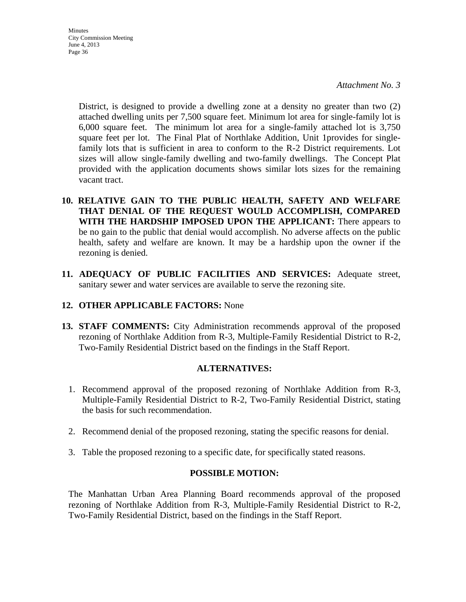*Attachment No. 3*

District, is designed to provide a dwelling zone at a density no greater than two (2) attached dwelling units per 7,500 square feet. Minimum lot area for single-family lot is 6,000 square feet. The minimum lot area for a single-family attached lot is 3,750 square feet per lot. The Final Plat of Northlake Addition, Unit 1provides for singlefamily lots that is sufficient in area to conform to the R-2 District requirements. Lot sizes will allow single-family dwelling and two-family dwellings. The Concept Plat provided with the application documents shows similar lots sizes for the remaining vacant tract.

- **10. RELATIVE GAIN TO THE PUBLIC HEALTH, SAFETY AND WELFARE THAT DENIAL OF THE REQUEST WOULD ACCOMPLISH, COMPARED WITH THE HARDSHIP IMPOSED UPON THE APPLICANT:** There appears to be no gain to the public that denial would accomplish. No adverse affects on the public health, safety and welfare are known. It may be a hardship upon the owner if the rezoning is denied.
- **11. ADEQUACY OF PUBLIC FACILITIES AND SERVICES:** Adequate street, sanitary sewer and water services are available to serve the rezoning site.

### **12. OTHER APPLICABLE FACTORS:** None

**13. STAFF COMMENTS:** City Administration recommends approval of the proposed rezoning of Northlake Addition from R-3, Multiple-Family Residential District to R-2, Two-Family Residential District based on the findings in the Staff Report.

### **ALTERNATIVES:**

- 1. Recommend approval of the proposed rezoning of Northlake Addition from R-3, Multiple-Family Residential District to R-2, Two-Family Residential District, stating the basis for such recommendation.
- 2. Recommend denial of the proposed rezoning, stating the specific reasons for denial.
- 3. Table the proposed rezoning to a specific date, for specifically stated reasons.

### **POSSIBLE MOTION:**

The Manhattan Urban Area Planning Board recommends approval of the proposed rezoning of Northlake Addition from R-3, Multiple-Family Residential District to R-2, Two-Family Residential District, based on the findings in the Staff Report.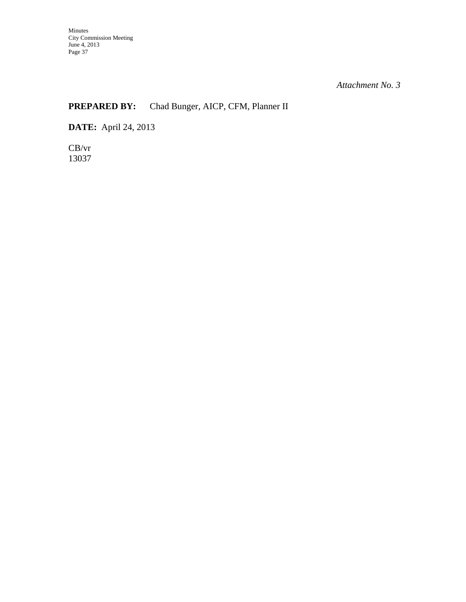# **PREPARED BY:** Chad Bunger, AICP, CFM, Planner II

**DATE:** April 24, 2013

CB/vr 13037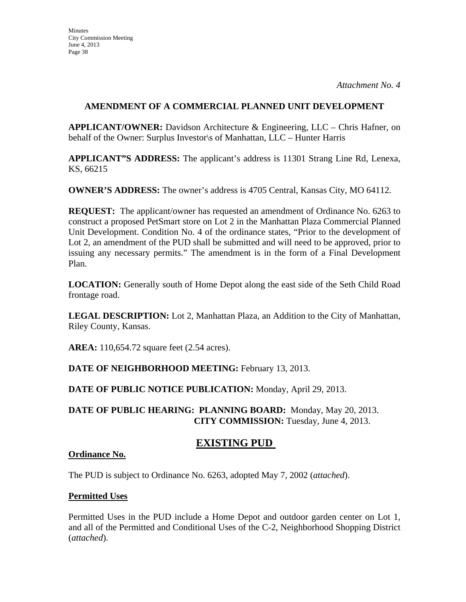## **AMENDMENT OF A COMMERCIAL PLANNED UNIT DEVELOPMENT**

**APPLICANT/OWNER:** Davidson Architecture & Engineering, LLC – Chris Hafner, on behalf of the Owner: Surplus Investor\s of Manhattan, LLC – Hunter Harris

**APPLICANT"S ADDRESS:** The applicant's address is 11301 Strang Line Rd, Lenexa, KS, 66215

**OWNER'S ADDRESS:** The owner's address is 4705 Central, Kansas City, MO 64112.

**REQUEST:** The applicant/owner has requested an amendment of Ordinance No. 6263 to construct a proposed PetSmart store on Lot 2 in the Manhattan Plaza Commercial Planned Unit Development. Condition No. 4 of the ordinance states, "Prior to the development of Lot 2, an amendment of the PUD shall be submitted and will need to be approved, prior to issuing any necessary permits." The amendment is in the form of a Final Development Plan.

**LOCATION:** Generally south of Home Depot along the east side of the Seth Child Road frontage road.

**LEGAL DESCRIPTION:** Lot 2, Manhattan Plaza, an Addition to the City of Manhattan, Riley County, Kansas.

**AREA:** 110,654.72 square feet (2.54 acres).

# **DATE OF NEIGHBORHOOD MEETING:** February 13, 2013.

**DATE OF PUBLIC NOTICE PUBLICATION:** Monday, April 29, 2013.

**DATE OF PUBLIC HEARING: PLANNING BOARD:** Monday, May 20, 2013. **CITY COMMISSION:** Tuesday, June 4, 2013.

# **EXISTING PUD**

# **Ordinance No.**

The PUD is subject to Ordinance No. 6263, adopted May 7, 2002 (*attached*).

# **Permitted Uses**

Permitted Uses in the PUD include a Home Depot and outdoor garden center on Lot 1, and all of the Permitted and Conditional Uses of the C-2, Neighborhood Shopping District (*attached*).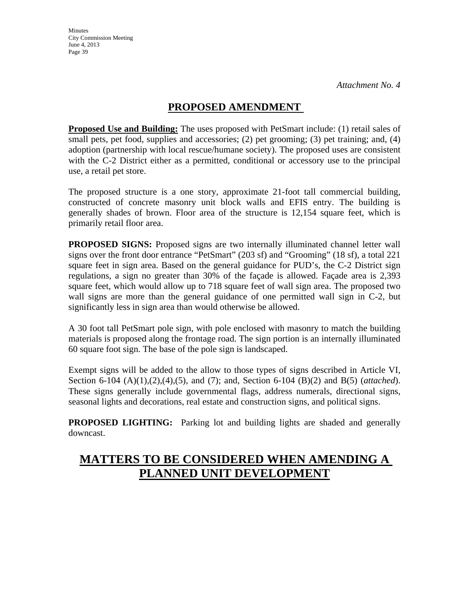# **PROPOSED AMENDMENT**

**Proposed Use and Building:** The uses proposed with PetSmart include: (1) retail sales of small pets, pet food, supplies and accessories; (2) pet grooming; (3) pet training; and, (4) adoption (partnership with local rescue/humane society). The proposed uses are consistent with the C-2 District either as a permitted, conditional or accessory use to the principal use, a retail pet store.

The proposed structure is a one story, approximate 21-foot tall commercial building, constructed of concrete masonry unit block walls and EFIS entry. The building is generally shades of brown. Floor area of the structure is 12,154 square feet, which is primarily retail floor area.

**PROPOSED SIGNS:** Proposed signs are two internally illuminated channel letter wall signs over the front door entrance "PetSmart" (203 sf) and "Grooming" (18 sf), a total 221 square feet in sign area. Based on the general guidance for PUD's, the C-2 District sign regulations, a sign no greater than 30% of the façade is allowed. Façade area is 2,393 square feet, which would allow up to 718 square feet of wall sign area. The proposed two wall signs are more than the general guidance of one permitted wall sign in C-2, but significantly less in sign area than would otherwise be allowed.

A 30 foot tall PetSmart pole sign, with pole enclosed with masonry to match the building materials is proposed along the frontage road. The sign portion is an internally illuminated 60 square foot sign. The base of the pole sign is landscaped.

Exempt signs will be added to the allow to those types of signs described in Article VI, Section 6-104 (A)(1),(2),(4),(5), and (7); and, Section 6-104 (B)(2) and B(5) (*attached*). These signs generally include governmental flags, address numerals, directional signs, seasonal lights and decorations, real estate and construction signs, and political signs.

**PROPOSED LIGHTING:** Parking lot and building lights are shaded and generally downcast.

# **MATTERS TO BE CONSIDERED WHEN AMENDING A PLANNED UNIT DEVELOPMENT**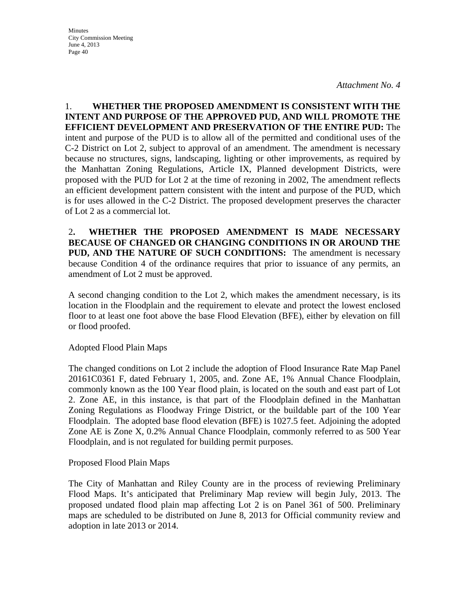**Minutes** City Commission Meeting June 4, 2013 Page 40

1. **WHETHER THE PROPOSED AMENDMENT IS CONSISTENT WITH THE INTENT AND PURPOSE OF THE APPROVED PUD, AND WILL PROMOTE THE EFFICIENT DEVELOPMENT AND PRESERVATION OF THE ENTIRE PUD:** The intent and purpose of the PUD is to allow all of the permitted and conditional uses of the C-2 District on Lot 2, subject to approval of an amendment. The amendment is necessary because no structures, signs, landscaping, lighting or other improvements, as required by the Manhattan Zoning Regulations, Article IX, Planned development Districts, were proposed with the PUD for Lot 2 at the time of rezoning in 2002, The amendment reflects an efficient development pattern consistent with the intent and purpose of the PUD, which is for uses allowed in the C-2 District. The proposed development preserves the character of Lot 2 as a commercial lot.

2**. WHETHER THE PROPOSED AMENDMENT IS MADE NECESSARY BECAUSE OF CHANGED OR CHANGING CONDITIONS IN OR AROUND THE PUD, AND THE NATURE OF SUCH CONDITIONS:** The amendment is necessary because Condition 4 of the ordinance requires that prior to issuance of any permits, an amendment of Lot 2 must be approved.

A second changing condition to the Lot 2, which makes the amendment necessary, is its location in the Floodplain and the requirement to elevate and protect the lowest enclosed floor to at least one foot above the base Flood Elevation (BFE), either by elevation on fill or flood proofed.

Adopted Flood Plain Maps

The changed conditions on Lot 2 include the adoption of Flood Insurance Rate Map Panel 20161C0361 F, dated February 1, 2005, and. Zone AE, 1% Annual Chance Floodplain, commonly known as the 100 Year flood plain, is located on the south and east part of Lot 2. Zone AE, in this instance, is that part of the Floodplain defined in the Manhattan Zoning Regulations as Floodway Fringe District, or the buildable part of the 100 Year Floodplain. The adopted base flood elevation (BFE) is 1027.5 feet. Adjoining the adopted Zone AE is Zone X, 0.2% Annual Chance Floodplain, commonly referred to as 500 Year Floodplain, and is not regulated for building permit purposes.

Proposed Flood Plain Maps

The City of Manhattan and Riley County are in the process of reviewing Preliminary Flood Maps. It's anticipated that Preliminary Map review will begin July, 2013. The proposed undated flood plain map affecting Lot 2 is on Panel 361 of 500. Preliminary maps are scheduled to be distributed on June 8, 2013 for Official community review and adoption in late 2013 or 2014.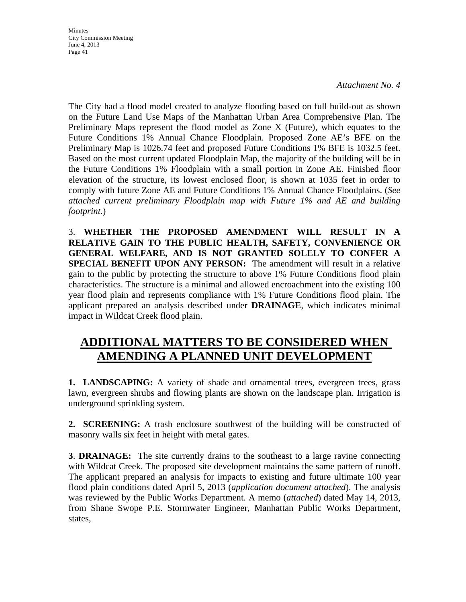*Attachment No. 4*

The City had a flood model created to analyze flooding based on full build-out as shown on the Future Land Use Maps of the Manhattan Urban Area Comprehensive Plan. The Preliminary Maps represent the flood model as Zone X (Future), which equates to the Future Conditions 1% Annual Chance Floodplain. Proposed Zone AE's BFE on the Preliminary Map is 1026.74 feet and proposed Future Conditions 1% BFE is 1032.5 feet. Based on the most current updated Floodplain Map, the majority of the building will be in the Future Conditions 1% Floodplain with a small portion in Zone AE. Finished floor elevation of the structure, its lowest enclosed floor, is shown at 1035 feet in order to comply with future Zone AE and Future Conditions 1% Annual Chance Floodplains. (*See attached current preliminary Floodplain map with Future 1% and AE and building footprint*.)

3. **WHETHER THE PROPOSED AMENDMENT WILL RESULT IN A RELATIVE GAIN TO THE PUBLIC HEALTH, SAFETY, CONVENIENCE OR GENERAL WELFARE, AND IS NOT GRANTED SOLELY TO CONFER A SPECIAL BENEFIT UPON ANY PERSON:** The amendment will result in a relative gain to the public by protecting the structure to above 1% Future Conditions flood plain characteristics. The structure is a minimal and allowed encroachment into the existing 100 year flood plain and represents compliance with 1% Future Conditions flood plain. The applicant prepared an analysis described under **DRAINAGE**, which indicates minimal impact in Wildcat Creek flood plain.

# **ADDITIONAL MATTERS TO BE CONSIDERED WHEN AMENDING A PLANNED UNIT DEVELOPMENT**

**1. LANDSCAPING:** A variety of shade and ornamental trees, evergreen trees, grass lawn, evergreen shrubs and flowing plants are shown on the landscape plan. Irrigation is underground sprinkling system.

**2. SCREENING:** A trash enclosure southwest of the building will be constructed of masonry walls six feet in height with metal gates.

**3**. **DRAINAGE:** The site currently drains to the southeast to a large ravine connecting with Wildcat Creek. The proposed site development maintains the same pattern of runoff. The applicant prepared an analysis for impacts to existing and future ultimate 100 year flood plain conditions dated April 5, 2013 (*application document attached*). The analysis was reviewed by the Public Works Department. A memo (*attached*) dated May 14, 2013, from Shane Swope P.E. Stormwater Engineer, Manhattan Public Works Department, states,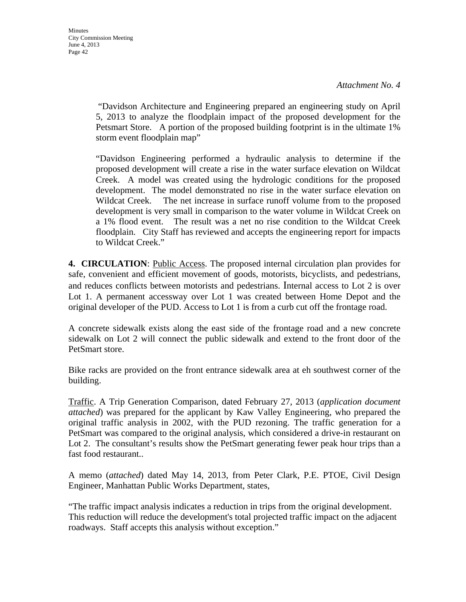"Davidson Architecture and Engineering prepared an engineering study on April 5, 2013 to analyze the floodplain impact of the proposed development for the Petsmart Store. A portion of the proposed building footprint is in the ultimate 1% storm event floodplain map"

"Davidson Engineering performed a hydraulic analysis to determine if the proposed development will create a rise in the water surface elevation on Wildcat Creek. A model was created using the hydrologic conditions for the proposed development. The model demonstrated no rise in the water surface elevation on Wildcat Creek. The net increase in surface runoff volume from to the proposed development is very small in comparison to the water volume in Wildcat Creek on a 1% flood event. The result was a net no rise condition to the Wildcat Creek floodplain. City Staff has reviewed and accepts the engineering report for impacts to Wildcat Creek."

**4. CIRCULATION**: Public Access. The proposed internal circulation plan provides for safe, convenient and efficient movement of goods, motorists, bicyclists, and pedestrians, and reduces conflicts between motorists and pedestrians. Internal access to Lot 2 is over Lot 1. A permanent accessway over Lot 1 was created between Home Depot and the original developer of the PUD. Access to Lot 1 is from a curb cut off the frontage road.

A concrete sidewalk exists along the east side of the frontage road and a new concrete sidewalk on Lot 2 will connect the public sidewalk and extend to the front door of the PetSmart store.

Bike racks are provided on the front entrance sidewalk area at eh southwest corner of the building.

Traffic. A Trip Generation Comparison, dated February 27, 2013 (*application document attached*) was prepared for the applicant by Kaw Valley Engineering, who prepared the original traffic analysis in 2002, with the PUD rezoning. The traffic generation for a PetSmart was compared to the original analysis, which considered a drive-in restaurant on Lot 2. The consultant's results show the PetSmart generating fewer peak hour trips than a fast food restaurant..

A memo (*attached*) dated May 14, 2013, from Peter Clark, P.E. PTOE, Civil Design Engineer, Manhattan Public Works Department, states,

"The traffic impact analysis indicates a reduction in trips from the original development. This reduction will reduce the development's total projected traffic impact on the adjacent roadways. Staff accepts this analysis without exception."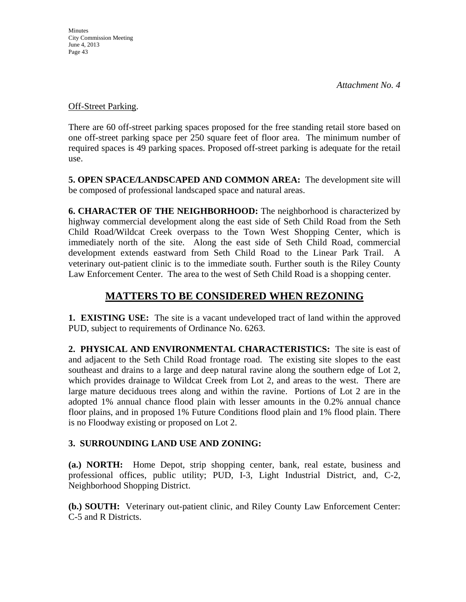## Off-Street Parking.

There are 60 off-street parking spaces proposed for the free standing retail store based on one off-street parking space per 250 square feet of floor area. The minimum number of required spaces is 49 parking spaces. Proposed off-street parking is adequate for the retail use.

**5. OPEN SPACE/LANDSCAPED AND COMMON AREA:** The development site will be composed of professional landscaped space and natural areas.

**6. CHARACTER OF THE NEIGHBORHOOD:** The neighborhood is characterized by highway commercial development along the east side of Seth Child Road from the Seth Child Road/Wildcat Creek overpass to the Town West Shopping Center, which is immediately north of the site. Along the east side of Seth Child Road, commercial development extends eastward from Seth Child Road to the Linear Park Trail. A veterinary out-patient clinic is to the immediate south. Further south is the Riley County Law Enforcement Center. The area to the west of Seth Child Road is a shopping center.

# **MATTERS TO BE CONSIDERED WHEN REZONING**

**1. EXISTING USE:** The site is a vacant undeveloped tract of land within the approved PUD, subject to requirements of Ordinance No. 6263.

**2. PHYSICAL AND ENVIRONMENTAL CHARACTERISTICS:** The site is east of and adjacent to the Seth Child Road frontage road. The existing site slopes to the east southeast and drains to a large and deep natural ravine along the southern edge of Lot 2, which provides drainage to Wildcat Creek from Lot 2, and areas to the west. There are large mature deciduous trees along and within the ravine. Portions of Lot 2 are in the adopted 1% annual chance flood plain with lesser amounts in the 0.2% annual chance floor plains, and in proposed 1% Future Conditions flood plain and 1% flood plain. There is no Floodway existing or proposed on Lot 2.

# **3. SURROUNDING LAND USE AND ZONING:**

**(a.) NORTH:** Home Depot, strip shopping center, bank, real estate, business and professional offices, public utility; PUD, I-3, Light Industrial District, and, C-2, Neighborhood Shopping District.

**(b.) SOUTH:** Veterinary out-patient clinic, and Riley County Law Enforcement Center: C-5 and R Districts.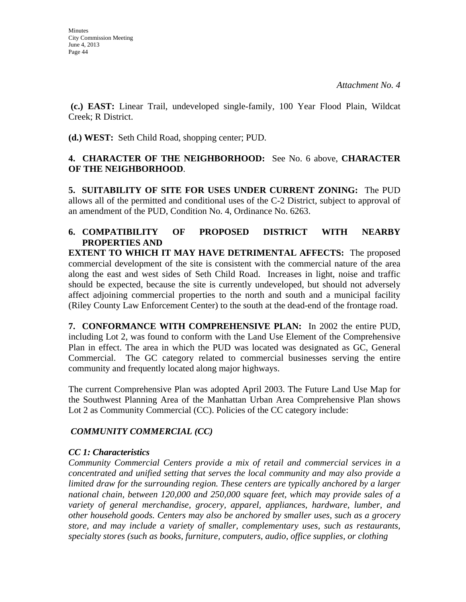**(c.) EAST:** Linear Trail, undeveloped single-family, 100 Year Flood Plain, Wildcat Creek; R District.

**(d.) WEST:** Seth Child Road, shopping center; PUD.

## **4. CHARACTER OF THE NEIGHBORHOOD:** See No. 6 above, **CHARACTER OF THE NEIGHBORHOOD**.

**5. SUITABILITY OF SITE FOR USES UNDER CURRENT ZONING:** The PUD allows all of the permitted and conditional uses of the C-2 District, subject to approval of an amendment of the PUD, Condition No. 4, Ordinance No. 6263.

# **6. COMPATIBILITY OF PROPOSED DISTRICT WITH NEARBY PROPERTIES AND EXTENT TO WHICH IT MAY HAVE DETRIMENTAL AFFECTS:** The proposed

commercial development of the site is consistent with the commercial nature of the area along the east and west sides of Seth Child Road. Increases in light, noise and traffic should be expected, because the site is currently undeveloped, but should not adversely affect adjoining commercial properties to the north and south and a municipal facility (Riley County Law Enforcement Center) to the south at the dead-end of the frontage road.

**7. CONFORMANCE WITH COMPREHENSIVE PLAN:** In 2002 the entire PUD, including Lot 2, was found to conform with the Land Use Element of the Comprehensive Plan in effect. The area in which the PUD was located was designated as GC, General Commercial. The GC category related to commercial businesses serving the entire community and frequently located along major highways.

The current Comprehensive Plan was adopted April 2003. The Future Land Use Map for the Southwest Planning Area of the Manhattan Urban Area Comprehensive Plan shows Lot 2 as Community Commercial (CC). Policies of the CC category include:

# *COMMUNITY COMMERCIAL (CC)*

# *CC 1: Characteristics*

*Community Commercial Centers provide a mix of retail and commercial services in a concentrated and unified setting that serves the local community and may also provide a limited draw for the surrounding region. These centers are typically anchored by a larger national chain, between 120,000 and 250,000 square feet, which may provide sales of a variety of general merchandise, grocery, apparel, appliances, hardware, lumber, and other household goods. Centers may also be anchored by smaller uses, such as a grocery store, and may include a variety of smaller, complementary uses, such as restaurants, specialty stores (such as books, furniture, computers, audio, office supplies, or clothing*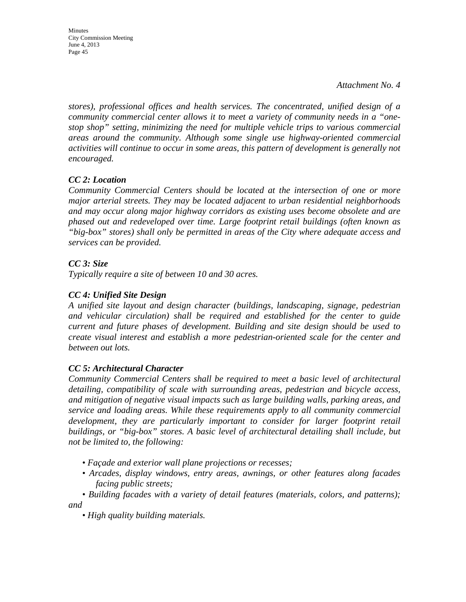Minutes City Commission Meeting June 4, 2013 Page 45

*stores), professional offices and health services. The concentrated, unified design of a community commercial center allows it to meet a variety of community needs in a "onestop shop" setting, minimizing the need for multiple vehicle trips to various commercial areas around the community. Although some single use highway-oriented commercial activities will continue to occur in some areas, this pattern of development is generally not encouraged.* 

## *CC 2: Location*

*Community Commercial Centers should be located at the intersection of one or more major arterial streets. They may be located adjacent to urban residential neighborhoods and may occur along major highway corridors as existing uses become obsolete and are phased out and redeveloped over time. Large footprint retail buildings (often known as "big-box" stores) shall only be permitted in areas of the City where adequate access and services can be provided.* 

## *CC 3: Size*

*Typically require a site of between 10 and 30 acres.* 

## *CC 4: Unified Site Design*

*A unified site layout and design character (buildings, landscaping, signage, pedestrian and vehicular circulation) shall be required and established for the center to guide current and future phases of development. Building and site design should be used to create visual interest and establish a more pedestrian-oriented scale for the center and between out lots.* 

## *CC 5: Architectural Character*

*Community Commercial Centers shall be required to meet a basic level of architectural detailing, compatibility of scale with surrounding areas, pedestrian and bicycle access, and mitigation of negative visual impacts such as large building walls, parking areas, and service and loading areas. While these requirements apply to all community commercial development, they are particularly important to consider for larger footprint retail buildings, or "big-box" stores. A basic level of architectural detailing shall include, but not be limited to, the following:* 

- *Façade and exterior wall plane projections or recesses;*
- *Arcades, display windows, entry areas, awnings, or other features along facades facing public streets;*
- *Building facades with a variety of detail features (materials, colors, and patterns); and* 
	- *High quality building materials.*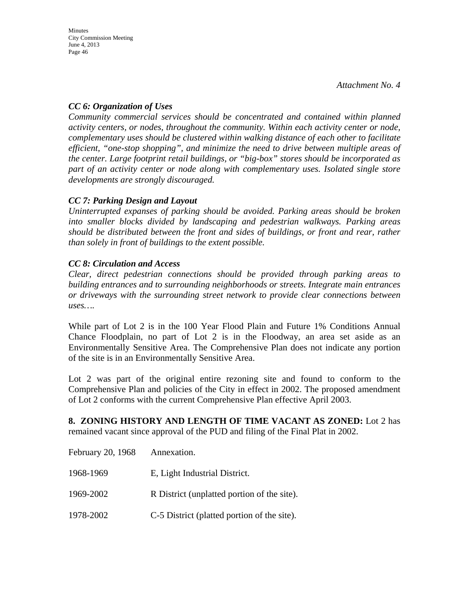## *CC 6: Organization of Uses*

*Community commercial services should be concentrated and contained within planned activity centers, or nodes, throughout the community. Within each activity center or node, complementary uses should be clustered within walking distance of each other to facilitate efficient, "one-stop shopping", and minimize the need to drive between multiple areas of the center. Large footprint retail buildings, or "big-box" stores should be incorporated as part of an activity center or node along with complementary uses. Isolated single store developments are strongly discouraged.* 

## *CC 7: Parking Design and Layout*

*Uninterrupted expanses of parking should be avoided. Parking areas should be broken into smaller blocks divided by landscaping and pedestrian walkways. Parking areas should be distributed between the front and sides of buildings, or front and rear, rather than solely in front of buildings to the extent possible.* 

## *CC 8: Circulation and Access*

*Clear, direct pedestrian connections should be provided through parking areas to building entrances and to surrounding neighborhoods or streets. Integrate main entrances or driveways with the surrounding street network to provide clear connections between uses….* 

While part of Lot 2 is in the 100 Year Flood Plain and Future 1% Conditions Annual Chance Floodplain, no part of Lot 2 is in the Floodway, an area set aside as an Environmentally Sensitive Area. The Comprehensive Plan does not indicate any portion of the site is in an Environmentally Sensitive Area.

Lot 2 was part of the original entire rezoning site and found to conform to the Comprehensive Plan and policies of the City in effect in 2002. The proposed amendment of Lot 2 conforms with the current Comprehensive Plan effective April 2003.

**8. ZONING HISTORY AND LENGTH OF TIME VACANT AS ZONED:** Lot 2 has remained vacant since approval of the PUD and filing of the Final Plat in 2002.

| February 20, 1968 | Annexation.                                 |
|-------------------|---------------------------------------------|
| 1968-1969         | E, Light Industrial District.               |
| 1969-2002         | R District (unplatted portion of the site). |
| 1978-2002         | C-5 District (platted portion of the site). |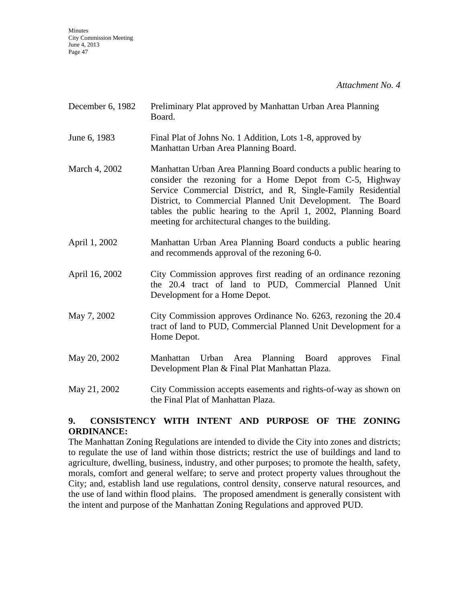*Attachment No. 4*

| December 6, 1982 | Preliminary Plat approved by Manhattan Urban Area Planning<br>Board.                                                                                                                                                                                                                                                                                                                 |
|------------------|--------------------------------------------------------------------------------------------------------------------------------------------------------------------------------------------------------------------------------------------------------------------------------------------------------------------------------------------------------------------------------------|
| June 6, 1983     | Final Plat of Johns No. 1 Addition, Lots 1-8, approved by<br>Manhattan Urban Area Planning Board.                                                                                                                                                                                                                                                                                    |
| March 4, 2002    | Manhattan Urban Area Planning Board conducts a public hearing to<br>consider the rezoning for a Home Depot from C-5, Highway<br>Service Commercial District, and R, Single-Family Residential<br>District, to Commercial Planned Unit Development. The Board<br>tables the public hearing to the April 1, 2002, Planning Board<br>meeting for architectural changes to the building. |
| April 1, 2002    | Manhattan Urban Area Planning Board conducts a public hearing<br>and recommends approval of the rezoning 6-0.                                                                                                                                                                                                                                                                        |
| April 16, 2002   | City Commission approves first reading of an ordinance rezoning<br>the 20.4 tract of land to PUD, Commercial Planned Unit<br>Development for a Home Depot.                                                                                                                                                                                                                           |
| May 7, 2002      | City Commission approves Ordinance No. 6263, rezoning the 20.4<br>tract of land to PUD, Commercial Planned Unit Development for a<br>Home Depot.                                                                                                                                                                                                                                     |
| May 20, 2002     | Urban Area Planning Board<br>Final<br>Manhattan<br>approves<br>Development Plan & Final Plat Manhattan Plaza.                                                                                                                                                                                                                                                                        |
| May 21, 2002     | City Commission accepts easements and rights-of-way as shown on<br>the Final Plat of Manhattan Plaza.                                                                                                                                                                                                                                                                                |

## **9. CONSISTENCY WITH INTENT AND PURPOSE OF THE ZONING ORDINANCE:**

The Manhattan Zoning Regulations are intended to divide the City into zones and districts; to regulate the use of land within those districts; restrict the use of buildings and land to agriculture, dwelling, business, industry, and other purposes; to promote the health, safety, morals, comfort and general welfare; to serve and protect property values throughout the City; and, establish land use regulations, control density, conserve natural resources, and the use of land within flood plains. The proposed amendment is generally consistent with the intent and purpose of the Manhattan Zoning Regulations and approved PUD.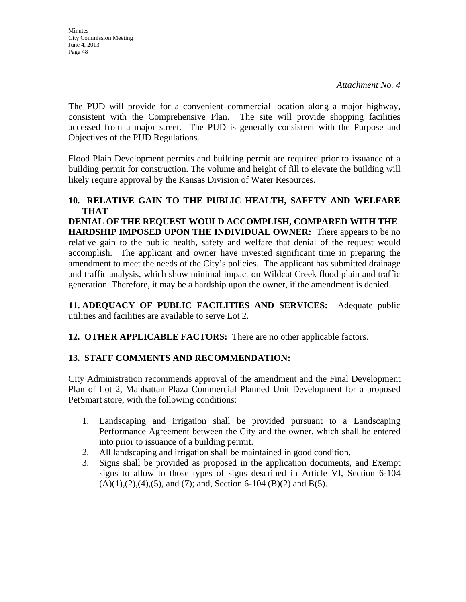The PUD will provide for a convenient commercial location along a major highway, consistent with the Comprehensive Plan. The site will provide shopping facilities accessed from a major street. The PUD is generally consistent with the Purpose and Objectives of the PUD Regulations.

Flood Plain Development permits and building permit are required prior to issuance of a building permit for construction. The volume and height of fill to elevate the building will likely require approval by the Kansas Division of Water Resources.

### **10. RELATIVE GAIN TO THE PUBLIC HEALTH, SAFETY AND WELFARE THAT**

**DENIAL OF THE REQUEST WOULD ACCOMPLISH, COMPARED WITH THE HARDSHIP IMPOSED UPON THE INDIVIDUAL OWNER:** There appears to be no relative gain to the public health, safety and welfare that denial of the request would accomplish. The applicant and owner have invested significant time in preparing the amendment to meet the needs of the City's policies. The applicant has submitted drainage and traffic analysis, which show minimal impact on Wildcat Creek flood plain and traffic generation. Therefore, it may be a hardship upon the owner, if the amendment is denied.

**11. ADEQUACY OF PUBLIC FACILITIES AND SERVICES:** Adequate public utilities and facilities are available to serve Lot 2.

**12. OTHER APPLICABLE FACTORS:** There are no other applicable factors.

# **13. STAFF COMMENTS AND RECOMMENDATION:**

City Administration recommends approval of the amendment and the Final Development Plan of Lot 2, Manhattan Plaza Commercial Planned Unit Development for a proposed PetSmart store, with the following conditions:

- 1. Landscaping and irrigation shall be provided pursuant to a Landscaping Performance Agreement between the City and the owner, which shall be entered into prior to issuance of a building permit.
- 2. All landscaping and irrigation shall be maintained in good condition.
- 3. Signs shall be provided as proposed in the application documents, and Exempt signs to allow to those types of signs described in Article VI, Section 6-104  $(A)(1),(2),(4),(5)$ , and  $(7)$ ; and, Section 6-104  $(B)(2)$  and  $B(5)$ .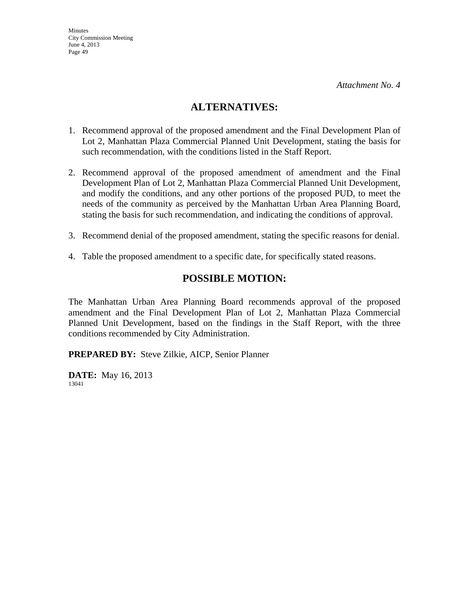# **ALTERNATIVES:**

- 1. Recommend approval of the proposed amendment and the Final Development Plan of Lot 2, Manhattan Plaza Commercial Planned Unit Development, stating the basis for such recommendation, with the conditions listed in the Staff Report.
- 2. Recommend approval of the proposed amendment of amendment and the Final Development Plan of Lot 2, Manhattan Plaza Commercial Planned Unit Development, and modify the conditions, and any other portions of the proposed PUD, to meet the needs of the community as perceived by the Manhattan Urban Area Planning Board, stating the basis for such recommendation, and indicating the conditions of approval.
- 3. Recommend denial of the proposed amendment, stating the specific reasons for denial.
- 4. Table the proposed amendment to a specific date, for specifically stated reasons.

# **POSSIBLE MOTION:**

The Manhattan Urban Area Planning Board recommends approval of the proposed amendment and the Final Development Plan of Lot 2, Manhattan Plaza Commercial Planned Unit Development, based on the findings in the Staff Report, with the three conditions recommended by City Administration.

**PREPARED BY:** Steve Zilkie, AICP, Senior Planner

**DATE:** May 16, 2013 13041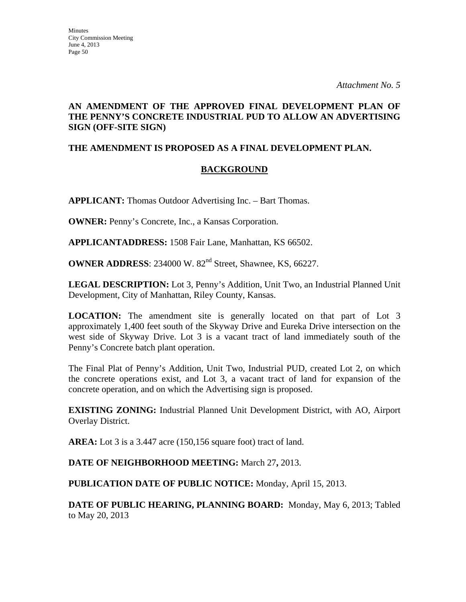## **AN AMENDMENT OF THE APPROVED FINAL DEVELOPMENT PLAN OF THE PENNY'S CONCRETE INDUSTRIAL PUD TO ALLOW AN ADVERTISING SIGN (OFF-SITE SIGN)**

## **THE AMENDMENT IS PROPOSED AS A FINAL DEVELOPMENT PLAN.**

## **BACKGROUND**

**APPLICANT:** Thomas Outdoor Advertising Inc. – Bart Thomas.

**OWNER:** Penny's Concrete, Inc., a Kansas Corporation.

**APPLICANTADDRESS:** 1508 Fair Lane, Manhattan, KS 66502.

**OWNER ADDRESS**: 234000 W. 82<sup>nd</sup> Street, Shawnee, KS, 66227.

**LEGAL DESCRIPTION:** Lot 3, Penny's Addition, Unit Two, an Industrial Planned Unit Development, City of Manhattan, Riley County, Kansas.

**LOCATION:** The amendment site is generally located on that part of Lot 3 approximately 1,400 feet south of the Skyway Drive and Eureka Drive intersection on the west side of Skyway Drive. Lot 3 is a vacant tract of land immediately south of the Penny's Concrete batch plant operation.

The Final Plat of Penny's Addition, Unit Two, Industrial PUD, created Lot 2, on which the concrete operations exist, and Lot 3, a vacant tract of land for expansion of the concrete operation, and on which the Advertising sign is proposed.

**EXISTING ZONING:** Industrial Planned Unit Development District, with AO, Airport Overlay District.

**AREA:** Lot 3 is a 3.447 acre (150,156 square foot) tract of land.

**DATE OF NEIGHBORHOOD MEETING:** March 27**,** 2013.

**PUBLICATION DATE OF PUBLIC NOTICE:** Monday, April 15, 2013.

**DATE OF PUBLIC HEARING, PLANNING BOARD:** Monday, May 6, 2013; Tabled to May 20, 2013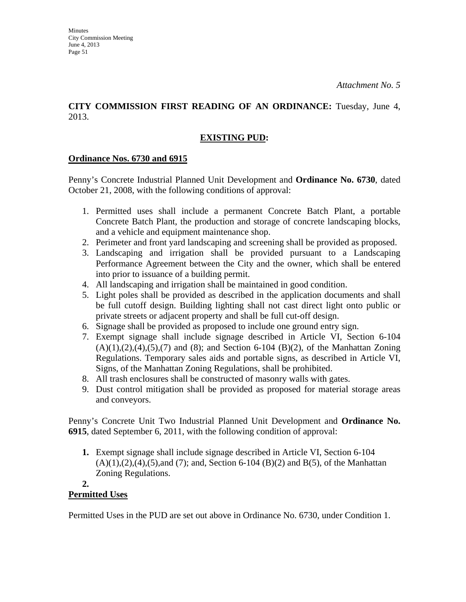## **CITY COMMISSION FIRST READING OF AN ORDINANCE:** Tuesday, June 4, 2013.

# **EXISTING PUD:**

## **Ordinance Nos. 6730 and 6915**

Penny's Concrete Industrial Planned Unit Development and **Ordinance No. 6730**, dated October 21, 2008, with the following conditions of approval:

- 1. Permitted uses shall include a permanent Concrete Batch Plant, a portable Concrete Batch Plant, the production and storage of concrete landscaping blocks, and a vehicle and equipment maintenance shop.
- 2. Perimeter and front yard landscaping and screening shall be provided as proposed.
- 3. Landscaping and irrigation shall be provided pursuant to a Landscaping Performance Agreement between the City and the owner, which shall be entered into prior to issuance of a building permit.
- 4. All landscaping and irrigation shall be maintained in good condition.
- 5. Light poles shall be provided as described in the application documents and shall be full cutoff design. Building lighting shall not cast direct light onto public or private streets or adjacent property and shall be full cut-off design.
- 6. Signage shall be provided as proposed to include one ground entry sign.
- 7. Exempt signage shall include signage described in Article VI, Section 6-104  $(A)(1),(2),(4),(5),(7)$  and  $(8)$ ; and Section 6-104  $(B)(2)$ , of the Manhattan Zoning Regulations. Temporary sales aids and portable signs, as described in Article VI, Signs, of the Manhattan Zoning Regulations, shall be prohibited.
- 8. All trash enclosures shall be constructed of masonry walls with gates.
- 9. Dust control mitigation shall be provided as proposed for material storage areas and conveyors.

Penny's Concrete Unit Two Industrial Planned Unit Development and **Ordinance No. 6915**, dated September 6, 2011, with the following condition of approval:

**1.** Exempt signage shall include signage described in Article VI, Section 6-104  $(A)(1),(2),(4),(5)$ ,and  $(7)$ ; and, Section 6-104  $(B)(2)$  and  $B(5)$ , of the Manhattan Zoning Regulations.

#### **2. Permitted Uses**

Permitted Uses in the PUD are set out above in Ordinance No. 6730, under Condition 1.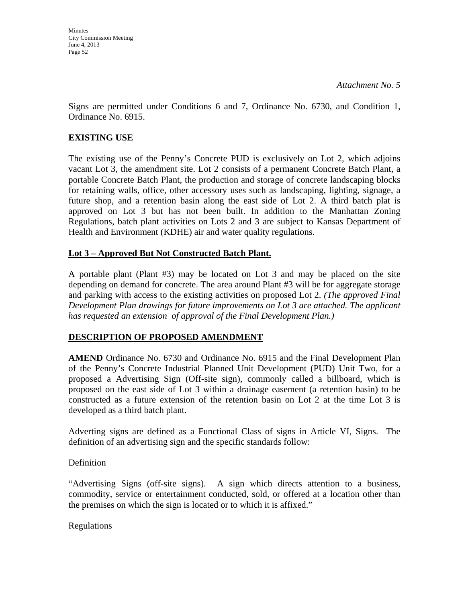**Minutes** City Commission Meeting June 4, 2013 Page 52

Signs are permitted under Conditions 6 and 7, Ordinance No. 6730, and Condition 1, Ordinance No. 6915.

### **EXISTING USE**

The existing use of the Penny's Concrete PUD is exclusively on Lot 2, which adjoins vacant Lot 3, the amendment site. Lot 2 consists of a permanent Concrete Batch Plant, a portable Concrete Batch Plant, the production and storage of concrete landscaping blocks for retaining walls, office, other accessory uses such as landscaping, lighting, signage, a future shop, and a retention basin along the east side of Lot 2. A third batch plat is approved on Lot 3 but has not been built. In addition to the Manhattan Zoning Regulations, batch plant activities on Lots 2 and 3 are subject to Kansas Department of Health and Environment (KDHE) air and water quality regulations.

## **Lot 3 – Approved But Not Constructed Batch Plant.**

A portable plant (Plant #3) may be located on Lot 3 and may be placed on the site depending on demand for concrete. The area around Plant #3 will be for aggregate storage and parking with access to the existing activities on proposed Lot 2. *(The approved Final Development Plan drawings for future improvements on Lot 3 are attached. The applicant has requested an extension of approval of the Final Development Plan.)*

## **DESCRIPTION OF PROPOSED AMENDMENT**

**AMEND** Ordinance No. 6730 and Ordinance No. 6915 and the Final Development Plan of the Penny's Concrete Industrial Planned Unit Development (PUD) Unit Two, for a proposed a Advertising Sign (Off-site sign), commonly called a billboard, which is proposed on the east side of Lot 3 within a drainage easement (a retention basin) to be constructed as a future extension of the retention basin on Lot 2 at the time Lot 3 is developed as a third batch plant.

Adverting signs are defined as a Functional Class of signs in Article VI, Signs. The definition of an advertising sign and the specific standards follow:

### **Definition**

"Advertising Signs (off-site signs). A sign which directs attention to a business, commodity, service or entertainment conducted, sold, or offered at a location other than the premises on which the sign is located or to which it is affixed."

### Regulations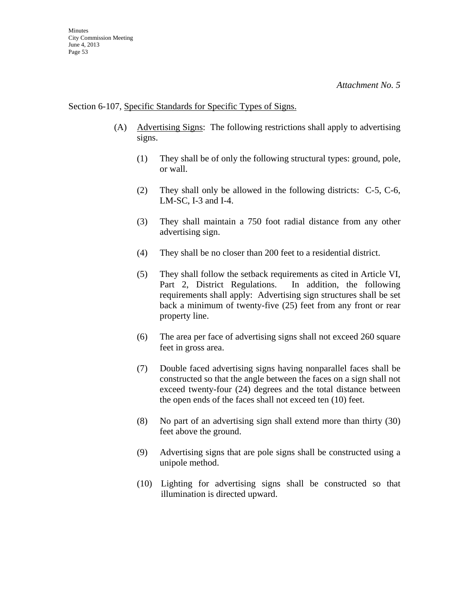### Section 6-107, Specific Standards for Specific Types of Signs.

- (A) Advertising Signs: The following restrictions shall apply to advertising signs.
	- (1) They shall be of only the following structural types: ground, pole, or wall.
	- (2) They shall only be allowed in the following districts: C-5, C-6, LM-SC, I-3 and I-4.
	- (3) They shall maintain a 750 foot radial distance from any other advertising sign.
	- (4) They shall be no closer than 200 feet to a residential district.
	- (5) They shall follow the setback requirements as cited in Article VI, Part 2, District Regulations. In addition, the following requirements shall apply: Advertising sign structures shall be set back a minimum of twenty-five (25) feet from any front or rear property line.
	- (6) The area per face of advertising signs shall not exceed 260 square feet in gross area.
	- (7) Double faced advertising signs having nonparallel faces shall be constructed so that the angle between the faces on a sign shall not exceed twenty-four (24) degrees and the total distance between the open ends of the faces shall not exceed ten (10) feet.
	- (8) No part of an advertising sign shall extend more than thirty (30) feet above the ground.
	- (9) Advertising signs that are pole signs shall be constructed using a unipole method.
	- (10) Lighting for advertising signs shall be constructed so that illumination is directed upward.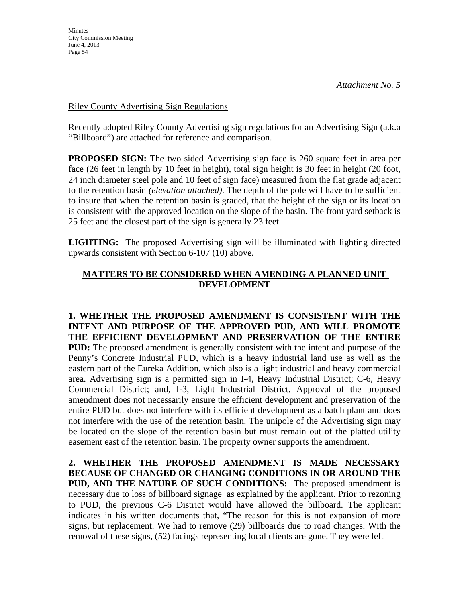Riley County Advertising Sign Regulations

Recently adopted Riley County Advertising sign regulations for an Advertising Sign (a.k.a "Billboard") are attached for reference and comparison.

**PROPOSED SIGN:** The two sided Advertising sign face is 260 square feet in area per face (26 feet in length by 10 feet in height), total sign height is 30 feet in height (20 foot, 24 inch diameter steel pole and 10 feet of sign face) measured from the flat grade adjacent to the retention basin *(elevation attached)*. The depth of the pole will have to be sufficient to insure that when the retention basin is graded, that the height of the sign or its location is consistent with the approved location on the slope of the basin. The front yard setback is 25 feet and the closest part of the sign is generally 23 feet.

**LIGHTING:** The proposed Advertising sign will be illuminated with lighting directed upwards consistent with Section 6-107 (10) above.

## **MATTERS TO BE CONSIDERED WHEN AMENDING A PLANNED UNIT DEVELOPMENT**

**1. WHETHER THE PROPOSED AMENDMENT IS CONSISTENT WITH THE INTENT AND PURPOSE OF THE APPROVED PUD, AND WILL PROMOTE THE EFFICIENT DEVELOPMENT AND PRESERVATION OF THE ENTIRE PUD:** The proposed amendment is generally consistent with the intent and purpose of the Penny's Concrete Industrial PUD, which is a heavy industrial land use as well as the eastern part of the Eureka Addition, which also is a light industrial and heavy commercial area. Advertising sign is a permitted sign in I-4, Heavy Industrial District; C-6, Heavy Commercial District; and, I-3, Light Industrial District. Approval of the proposed amendment does not necessarily ensure the efficient development and preservation of the entire PUD but does not interfere with its efficient development as a batch plant and does not interfere with the use of the retention basin. The unipole of the Advertising sign may be located on the slope of the retention basin but must remain out of the platted utility easement east of the retention basin. The property owner supports the amendment.

**2. WHETHER THE PROPOSED AMENDMENT IS MADE NECESSARY BECAUSE OF CHANGED OR CHANGING CONDITIONS IN OR AROUND THE PUD, AND THE NATURE OF SUCH CONDITIONS:** The proposed amendment is necessary due to loss of billboard signage as explained by the applicant. Prior to rezoning to PUD, the previous C-6 District would have allowed the billboard. The applicant indicates in his written documents that, "The reason for this is not expansion of more signs, but replacement. We had to remove (29) billboards due to road changes. With the removal of these signs, (52) facings representing local clients are gone. They were left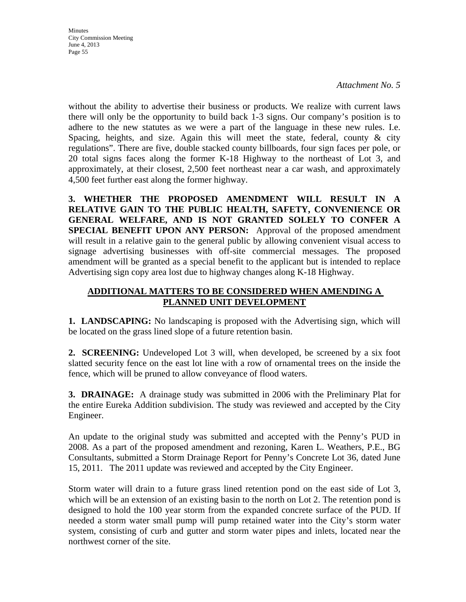*Attachment No. 5*

without the ability to advertise their business or products. We realize with current laws there will only be the opportunity to build back 1-3 signs. Our company's position is to adhere to the new statutes as we were a part of the language in these new rules. I.e. Spacing, heights, and size. Again this will meet the state, federal, county  $\&$  city regulations". There are five, double stacked county billboards, four sign faces per pole, or 20 total signs faces along the former K-18 Highway to the northeast of Lot 3, and approximately, at their closest, 2,500 feet northeast near a car wash, and approximately 4,500 feet further east along the former highway.

**3. WHETHER THE PROPOSED AMENDMENT WILL RESULT IN A RELATIVE GAIN TO THE PUBLIC HEALTH, SAFETY, CONVENIENCE OR GENERAL WELFARE, AND IS NOT GRANTED SOLELY TO CONFER A SPECIAL BENEFIT UPON ANY PERSON:** Approval of the proposed amendment will result in a relative gain to the general public by allowing convenient visual access to signage advertising businesses with off-site commercial messages. The proposed amendment will be granted as a special benefit to the applicant but is intended to replace Advertising sign copy area lost due to highway changes along K-18 Highway.

## **ADDITIONAL MATTERS TO BE CONSIDERED WHEN AMENDING A PLANNED UNIT DEVELOPMENT**

**1. LANDSCAPING:** No landscaping is proposed with the Advertising sign, which will be located on the grass lined slope of a future retention basin.

**2. SCREENING:** Undeveloped Lot 3 will, when developed, be screened by a six foot slatted security fence on the east lot line with a row of ornamental trees on the inside the fence, which will be pruned to allow conveyance of flood waters.

**3. DRAINAGE:** A drainage study was submitted in 2006 with the Preliminary Plat for the entire Eureka Addition subdivision. The study was reviewed and accepted by the City Engineer.

An update to the original study was submitted and accepted with the Penny's PUD in 2008. As a part of the proposed amendment and rezoning, Karen L. Weathers, P.E., BG Consultants, submitted a Storm Drainage Report for Penny's Concrete Lot 36, dated June 15, 2011. The 2011 update was reviewed and accepted by the City Engineer.

Storm water will drain to a future grass lined retention pond on the east side of Lot 3, which will be an extension of an existing basin to the north on Lot 2. The retention pond is designed to hold the 100 year storm from the expanded concrete surface of the PUD. If needed a storm water small pump will pump retained water into the City's storm water system, consisting of curb and gutter and storm water pipes and inlets, located near the northwest corner of the site.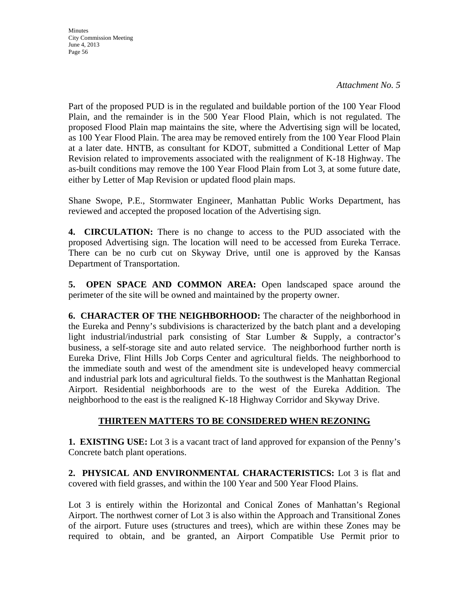*Attachment No. 5*

Part of the proposed PUD is in the regulated and buildable portion of the 100 Year Flood Plain, and the remainder is in the 500 Year Flood Plain, which is not regulated. The proposed Flood Plain map maintains the site, where the Advertising sign will be located, as 100 Year Flood Plain. The area may be removed entirely from the 100 Year Flood Plain at a later date. HNTB, as consultant for KDOT, submitted a Conditional Letter of Map Revision related to improvements associated with the realignment of K-18 Highway. The as-built conditions may remove the 100 Year Flood Plain from Lot 3, at some future date, either by Letter of Map Revision or updated flood plain maps.

Shane Swope, P.E., Stormwater Engineer, Manhattan Public Works Department, has reviewed and accepted the proposed location of the Advertising sign.

**4. CIRCULATION:** There is no change to access to the PUD associated with the proposed Advertising sign. The location will need to be accessed from Eureka Terrace. There can be no curb cut on Skyway Drive, until one is approved by the Kansas Department of Transportation.

**5. OPEN SPACE AND COMMON AREA:** Open landscaped space around the perimeter of the site will be owned and maintained by the property owner.

**6. CHARACTER OF THE NEIGHBORHOOD:** The character of the neighborhood in the Eureka and Penny's subdivisions is characterized by the batch plant and a developing light industrial/industrial park consisting of Star Lumber & Supply, a contractor's business, a self-storage site and auto related service. The neighborhood further north is Eureka Drive, Flint Hills Job Corps Center and agricultural fields. The neighborhood to the immediate south and west of the amendment site is undeveloped heavy commercial and industrial park lots and agricultural fields. To the southwest is the Manhattan Regional Airport. Residential neighborhoods are to the west of the Eureka Addition. The neighborhood to the east is the realigned K-18 Highway Corridor and Skyway Drive.

# **THIRTEEN MATTERS TO BE CONSIDERED WHEN REZONING**

**1. EXISTING USE:** Lot 3 is a vacant tract of land approved for expansion of the Penny's Concrete batch plant operations.

**2. PHYSICAL AND ENVIRONMENTAL CHARACTERISTICS:** Lot 3 is flat and covered with field grasses, and within the 100 Year and 500 Year Flood Plains.

Lot 3 is entirely within the Horizontal and Conical Zones of Manhattan's Regional Airport. The northwest corner of Lot 3 is also within the Approach and Transitional Zones of the airport. Future uses (structures and trees), which are within these Zones may be required to obtain, and be granted, an Airport Compatible Use Permit prior to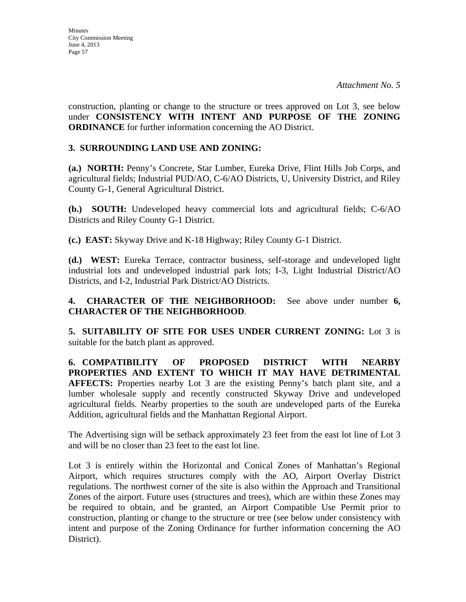construction, planting or change to the structure or trees approved on Lot 3, see below under **CONSISTENCY WITH INTENT AND PURPOSE OF THE ZONING ORDINANCE** for further information concerning the AO District.

## **3. SURROUNDING LAND USE AND ZONING:**

**(a.) NORTH:** Penny's Concrete, Star Lumber, Eureka Drive, Flint Hills Job Corps, and agricultural fields; Industrial PUD/AO, C-6/AO Districts, U, University District, and Riley County G-1, General Agricultural District.

**(b.) SOUTH:** Undeveloped heavy commercial lots and agricultural fields; C-6/AO Districts and Riley County G-1 District.

**(c.) EAST:** Skyway Drive and K-18 Highway; Riley County G-1 District.

**(d.) WEST:** Eureka Terrace, contractor business, self-storage and undeveloped light industrial lots and undeveloped industrial park lots; I-3, Light Industrial District/AO Districts, and I-2, Industrial Park District/AO Districts.

**4. CHARACTER OF THE NEIGHBORHOOD:** See above under number **6, CHARACTER OF THE NEIGHBORHOOD**.

**5. SUITABILITY OF SITE FOR USES UNDER CURRENT ZONING:** Lot 3 is suitable for the batch plant as approved.

**6. COMPATIBILITY OF PROPOSED DISTRICT WITH NEARBY PROPERTIES AND EXTENT TO WHICH IT MAY HAVE DETRIMENTAL AFFECTS:** Properties nearby Lot 3 are the existing Penny's batch plant site, and a lumber wholesale supply and recently constructed Skyway Drive and undeveloped agricultural fields. Nearby properties to the south are undeveloped parts of the Eureka Addition, agricultural fields and the Manhattan Regional Airport.

The Advertising sign will be setback approximately 23 feet from the east lot line of Lot 3 and will be no closer than 23 feet to the east lot line.

Lot 3 is entirely within the Horizontal and Conical Zones of Manhattan's Regional Airport, which requires structures comply with the AO, Airport Overlay District regulations. The northwest corner of the site is also within the Approach and Transitional Zones of the airport. Future uses (structures and trees), which are within these Zones may be required to obtain, and be granted, an Airport Compatible Use Permit prior to construction, planting or change to the structure or tree (see below under consistency with intent and purpose of the Zoning Ordinance for further information concerning the AO District).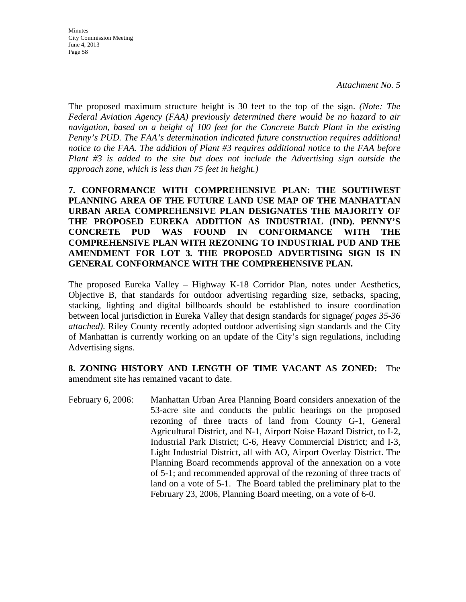**Minutes** City Commission Meeting June 4, 2013 Page 58

The proposed maximum structure height is 30 feet to the top of the sign. *(Note: The Federal Aviation Agency (FAA) previously determined there would be no hazard to air navigation, based on a height of 100 feet for the Concrete Batch Plant in the existing Penny's PUD. The FAA's determination indicated future construction requires additional notice to the FAA. The addition of Plant #3 requires additional notice to the FAA before Plant #3 is added to the site but does not include the Advertising sign outside the approach zone, which is less than 75 feet in height.)* 

**7. CONFORMANCE WITH COMPREHENSIVE PLAN: THE SOUTHWEST PLANNING AREA OF THE FUTURE LAND USE MAP OF THE MANHATTAN URBAN AREA COMPREHENSIVE PLAN DESIGNATES THE MAJORITY OF THE PROPOSED EUREKA ADDITION AS INDUSTRIAL (IND). PENNY'S CONCRETE PUD WAS FOUND IN CONFORMANCE WITH THE COMPREHENSIVE PLAN WITH REZONING TO INDUSTRIAL PUD AND THE AMENDMENT FOR LOT 3. THE PROPOSED ADVERTISING SIGN IS IN GENERAL CONFORMANCE WITH THE COMPREHENSIVE PLAN.**

The proposed Eureka Valley – Highway K-18 Corridor Plan, notes under Aesthetics, Objective B, that standards for outdoor advertising regarding size, setbacks, spacing, stacking, lighting and digital billboards should be established to insure coordination between local jurisdiction in Eureka Valley that design standards for signage*( pages 35-36 attached)*. Riley County recently adopted outdoor advertising sign standards and the City of Manhattan is currently working on an update of the City's sign regulations, including Advertising signs.

**8. ZONING HISTORY AND LENGTH OF TIME VACANT AS ZONED:** The amendment site has remained vacant to date.

February 6, 2006: Manhattan Urban Area Planning Board considers annexation of the 53-acre site and conducts the public hearings on the proposed rezoning of three tracts of land from County G-1, General Agricultural District, and N-1, Airport Noise Hazard District, to I-2, Industrial Park District; C-6, Heavy Commercial District; and I-3, Light Industrial District, all with AO, Airport Overlay District. The Planning Board recommends approval of the annexation on a vote of 5-1; and recommended approval of the rezoning of three tracts of land on a vote of 5-1. The Board tabled the preliminary plat to the February 23, 2006, Planning Board meeting, on a vote of 6-0.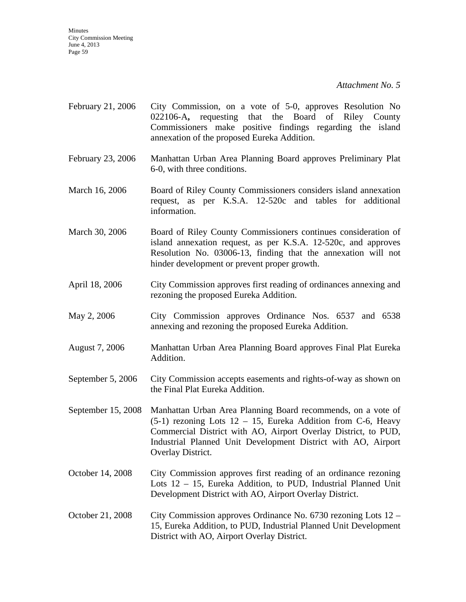*Attachment No. 5*

- February 21, 2006 City Commission, on a vote of 5-0, approves Resolution No 022106-A**,** requesting that the Board of Riley County Commissioners make positive findings regarding the island annexation of the proposed Eureka Addition.
- February 23, 2006 Manhattan Urban Area Planning Board approves Preliminary Plat 6-0, with three conditions.
- March 16, 2006 Board of Riley County Commissioners considers island annexation request, as per K.S.A. 12-520c and tables for additional information.
- March 30, 2006 Board of Riley County Commissioners continues consideration of island annexation request, as per K.S.A. 12-520c, and approves Resolution No. 03006-13, finding that the annexation will not hinder development or prevent proper growth.
- April 18, 2006 City Commission approves first reading of ordinances annexing and rezoning the proposed Eureka Addition.
- May 2, 2006 City Commission approves Ordinance Nos. 6537 and 6538 annexing and rezoning the proposed Eureka Addition.
- August 7, 2006 Manhattan Urban Area Planning Board approves Final Plat Eureka Addition.
- September 5, 2006 City Commission accepts easements and rights-of-way as shown on the Final Plat Eureka Addition.
- September 15, 2008 Manhattan Urban Area Planning Board recommends, on a vote of  $(5-1)$  rezoning Lots  $12 - 15$ , Eureka Addition from C-6, Heavy Commercial District with AO, Airport Overlay District, to PUD, Industrial Planned Unit Development District with AO, Airport Overlay District.
- October 14, 2008 City Commission approves first reading of an ordinance rezoning Lots 12 – 15, Eureka Addition, to PUD, Industrial Planned Unit Development District with AO, Airport Overlay District.
- October 21, 2008 City Commission approves Ordinance No. 6730 rezoning Lots 12 15, Eureka Addition, to PUD, Industrial Planned Unit Development District with AO, Airport Overlay District.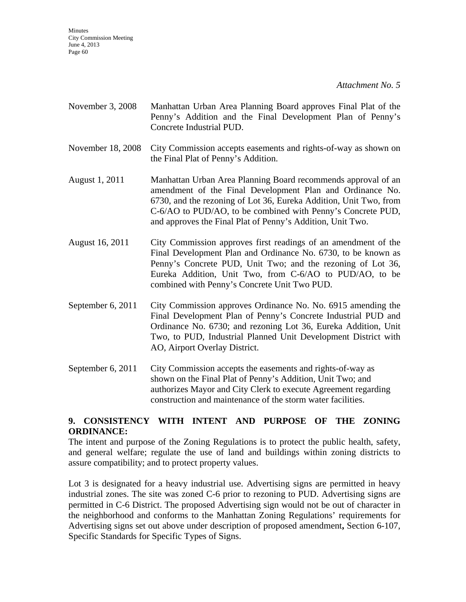- November 3, 2008 Manhattan Urban Area Planning Board approves Final Plat of the Penny's Addition and the Final Development Plan of Penny's Concrete Industrial PUD.
- November 18, 2008 City Commission accepts easements and rights-of-way as shown on the Final Plat of Penny's Addition.
- August 1, 2011 Manhattan Urban Area Planning Board recommends approval of an amendment of the Final Development Plan and Ordinance No. 6730, and the rezoning of Lot 36, Eureka Addition, Unit Two, from C-6/AO to PUD/AO, to be combined with Penny's Concrete PUD, and approves the Final Plat of Penny's Addition, Unit Two.
- August 16, 2011 City Commission approves first readings of an amendment of the Final Development Plan and Ordinance No. 6730, to be known as Penny's Concrete PUD, Unit Two; and the rezoning of Lot 36, Eureka Addition, Unit Two, from C-6/AO to PUD/AO, to be combined with Penny's Concrete Unit Two PUD.
- September 6, 2011 City Commission approves Ordinance No. No. 6915 amending the Final Development Plan of Penny's Concrete Industrial PUD and Ordinance No. 6730; and rezoning Lot 36, Eureka Addition, Unit Two, to PUD, Industrial Planned Unit Development District with AO, Airport Overlay District.
- September 6, 2011 City Commission accepts the easements and rights-of-way as shown on the Final Plat of Penny's Addition, Unit Two; and authorizes Mayor and City Clerk to execute Agreement regarding construction and maintenance of the storm water facilities.

## **9. CONSISTENCY WITH INTENT AND PURPOSE OF THE ZONING ORDINANCE:**

The intent and purpose of the Zoning Regulations is to protect the public health, safety, and general welfare; regulate the use of land and buildings within zoning districts to assure compatibility; and to protect property values.

Lot 3 is designated for a heavy industrial use. Advertising signs are permitted in heavy industrial zones. The site was zoned C-6 prior to rezoning to PUD. Advertising signs are permitted in C-6 District. The proposed Advertising sign would not be out of character in the neighborhood and conforms to the Manhattan Zoning Regulations' requirements for Advertising signs set out above under description of proposed amendment**,** Section 6-107, Specific Standards for Specific Types of Signs.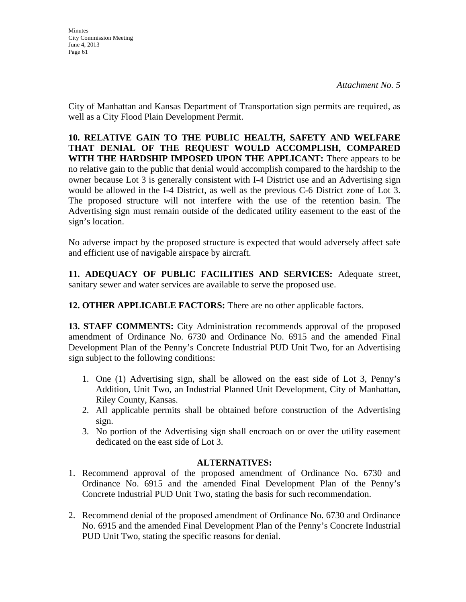**Minutes** City Commission Meeting June 4, 2013 Page 61

City of Manhattan and Kansas Department of Transportation sign permits are required, as well as a City Flood Plain Development Permit.

**10. RELATIVE GAIN TO THE PUBLIC HEALTH, SAFETY AND WELFARE THAT DENIAL OF THE REQUEST WOULD ACCOMPLISH, COMPARED WITH THE HARDSHIP IMPOSED UPON THE APPLICANT:** There appears to be no relative gain to the public that denial would accomplish compared to the hardship to the owner because Lot 3 is generally consistent with I-4 District use and an Advertising sign would be allowed in the I-4 District, as well as the previous C-6 District zone of Lot 3. The proposed structure will not interfere with the use of the retention basin. The Advertising sign must remain outside of the dedicated utility easement to the east of the sign's location.

No adverse impact by the proposed structure is expected that would adversely affect safe and efficient use of navigable airspace by aircraft.

**11. ADEQUACY OF PUBLIC FACILITIES AND SERVICES:** Adequate street, sanitary sewer and water services are available to serve the proposed use.

**12. OTHER APPLICABLE FACTORS:** There are no other applicable factors.

**13. STAFF COMMENTS:** City Administration recommends approval of the proposed amendment of Ordinance No. 6730 and Ordinance No. 6915 and the amended Final Development Plan of the Penny's Concrete Industrial PUD Unit Two, for an Advertising sign subject to the following conditions:

- 1. One (1) Advertising sign, shall be allowed on the east side of Lot 3, Penny's Addition, Unit Two, an Industrial Planned Unit Development, City of Manhattan, Riley County, Kansas.
- 2. All applicable permits shall be obtained before construction of the Advertising sign.
- 3. No portion of the Advertising sign shall encroach on or over the utility easement dedicated on the east side of Lot 3.

## **ALTERNATIVES:**

- 1. Recommend approval of the proposed amendment of Ordinance No. 6730 and Ordinance No. 6915 and the amended Final Development Plan of the Penny's Concrete Industrial PUD Unit Two, stating the basis for such recommendation.
- 2. Recommend denial of the proposed amendment of Ordinance No. 6730 and Ordinance No. 6915 and the amended Final Development Plan of the Penny's Concrete Industrial PUD Unit Two, stating the specific reasons for denial.